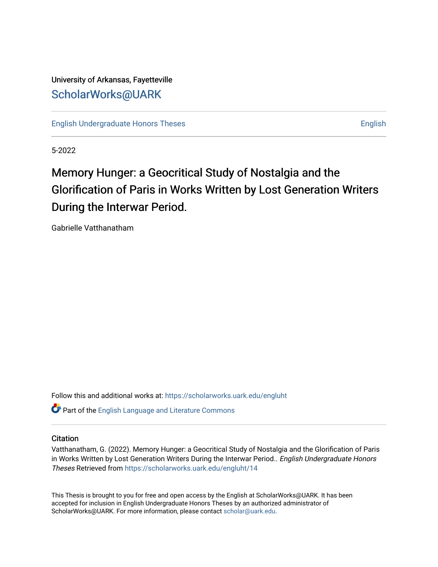University of Arkansas, Fayetteville [ScholarWorks@UARK](https://scholarworks.uark.edu/) 

[English Undergraduate Honors Theses](https://scholarworks.uark.edu/engluht) **English** English

5-2022

# Memory Hunger: a Geocritical Study of Nostalgia and the Glorification of Paris in Works Written by Lost Generation Writers During the Interwar Period.

Gabrielle Vatthanatham

Follow this and additional works at: [https://scholarworks.uark.edu/engluht](https://scholarworks.uark.edu/engluht?utm_source=scholarworks.uark.edu%2Fengluht%2F14&utm_medium=PDF&utm_campaign=PDFCoverPages)

Part of the [English Language and Literature Commons](https://network.bepress.com/hgg/discipline/455?utm_source=scholarworks.uark.edu%2Fengluht%2F14&utm_medium=PDF&utm_campaign=PDFCoverPages)

### **Citation**

Vatthanatham, G. (2022). Memory Hunger: a Geocritical Study of Nostalgia and the Glorification of Paris in Works Written by Lost Generation Writers During the Interwar Period.. English Undergraduate Honors Theses Retrieved from [https://scholarworks.uark.edu/engluht/14](https://scholarworks.uark.edu/engluht/14?utm_source=scholarworks.uark.edu%2Fengluht%2F14&utm_medium=PDF&utm_campaign=PDFCoverPages)

This Thesis is brought to you for free and open access by the English at ScholarWorks@UARK. It has been accepted for inclusion in English Undergraduate Honors Theses by an authorized administrator of ScholarWorks@UARK. For more information, please contact [scholar@uark.edu](mailto:scholar@uark.edu).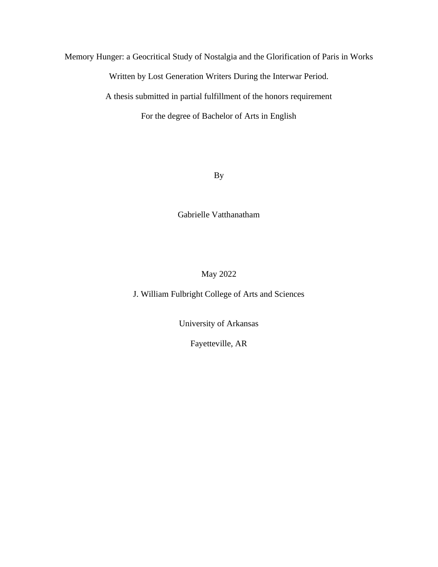Memory Hunger: a Geocritical Study of Nostalgia and the Glorification of Paris in Works

Written by Lost Generation Writers During the Interwar Period.

A thesis submitted in partial fulfillment of the honors requirement

For the degree of Bachelor of Arts in English

By

Gabrielle Vatthanatham

### May 2022

J. William Fulbright College of Arts and Sciences

University of Arkansas

Fayetteville, AR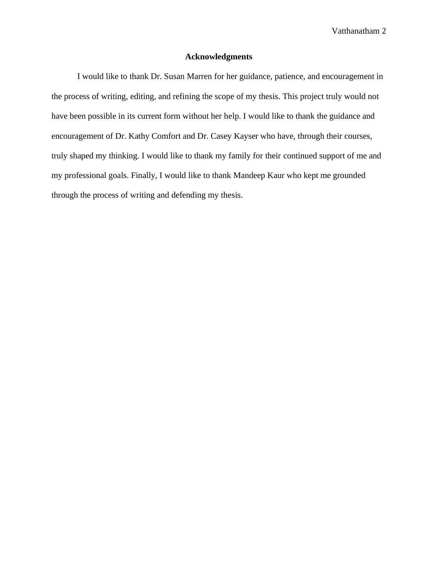### **Acknowledgments**

I would like to thank Dr. Susan Marren for her guidance, patience, and encouragement in the process of writing, editing, and refining the scope of my thesis. This project truly would not have been possible in its current form without her help. I would like to thank the guidance and encouragement of Dr. Kathy Comfort and Dr. Casey Kayser who have, through their courses, truly shaped my thinking. I would like to thank my family for their continued support of me and my professional goals. Finally, I would like to thank Mandeep Kaur who kept me grounded through the process of writing and defending my thesis.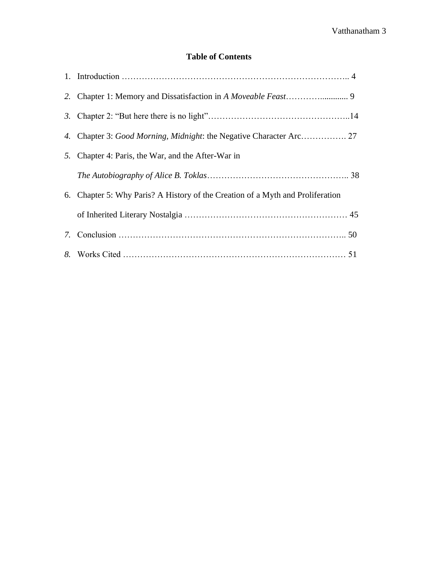### **Table of Contents**

| 5. Chapter 4: Paris, the War, and the After-War in                             |
|--------------------------------------------------------------------------------|
|                                                                                |
| 6. Chapter 5: Why Paris? A History of the Creation of a Myth and Proliferation |
|                                                                                |
|                                                                                |
|                                                                                |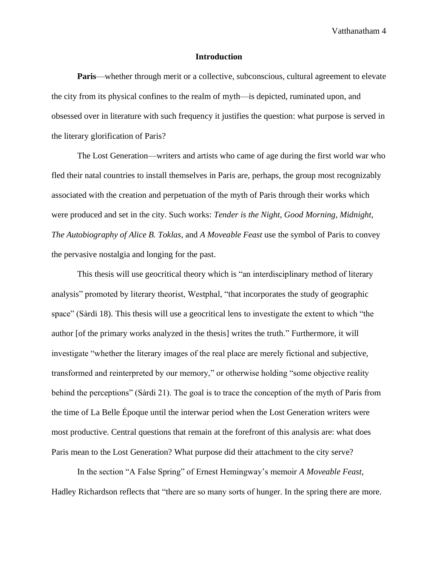#### **Introduction**

**Paris**—whether through merit or a collective, subconscious, cultural agreement to elevate the city from its physical confines to the realm of myth—is depicted, ruminated upon, and obsessed over in literature with such frequency it justifies the question: what purpose is served in the literary glorification of Paris?

The Lost Generation—writers and artists who came of age during the first world war who fled their natal countries to install themselves in Paris are, perhaps, the group most recognizably associated with the creation and perpetuation of the myth of Paris through their works which were produced and set in the city. Such works: *Tender is the Night*, *Good Morning, Midnight*, *The Autobiography of Alice B. Toklas*, and *A Moveable Feast* use the symbol of Paris to convey the pervasive nostalgia and longing for the past.

This thesis will use geocritical theory which is "an interdisciplinary method of literary analysis" promoted by literary theorist, Westphal, "that incorporates the study of geographic space" (Sàrdi 18). This thesis will use a geocritical lens to investigate the extent to which "the author [of the primary works analyzed in the thesis] writes the truth." Furthermore, it will investigate "whether the literary images of the real place are merely fictional and subjective, transformed and reinterpreted by our memory," or otherwise holding "some objective reality behind the perceptions" (Sàrdi 21). The goal is to trace the conception of the myth of Paris from the time of La Belle Époque until the interwar period when the Lost Generation writers were most productive. Central questions that remain at the forefront of this analysis are: what does Paris mean to the Lost Generation? What purpose did their attachment to the city serve?

In the section "A False Spring" of Ernest Hemingway's memoir *A Moveable Feast*, Hadley Richardson reflects that "there are so many sorts of hunger. In the spring there are more.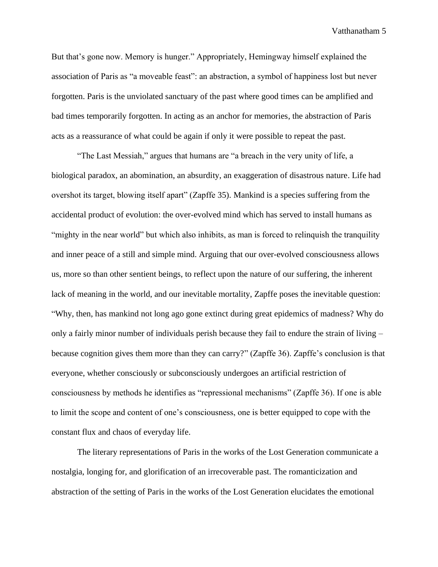But that's gone now. Memory is hunger." Appropriately, Hemingway himself explained the association of Paris as "a moveable feast": an abstraction, a symbol of happiness lost but never forgotten. Paris is the unviolated sanctuary of the past where good times can be amplified and bad times temporarily forgotten. In acting as an anchor for memories, the abstraction of Paris acts as a reassurance of what could be again if only it were possible to repeat the past.

"The Last Messiah," argues that humans are "a breach in the very unity of life, a biological paradox, an abomination, an absurdity, an exaggeration of disastrous nature. Life had overshot its target, blowing itself apart" (Zapffe 35). Mankind is a species suffering from the accidental product of evolution: the over-evolved mind which has served to install humans as "mighty in the near world" but which also inhibits, as man is forced to relinquish the tranquility and inner peace of a still and simple mind. Arguing that our over-evolved consciousness allows us, more so than other sentient beings, to reflect upon the nature of our suffering, the inherent lack of meaning in the world, and our inevitable mortality, Zapffe poses the inevitable question: "Why, then, has mankind not long ago gone extinct during great epidemics of madness? Why do only a fairly minor number of individuals perish because they fail to endure the strain of living – because cognition gives them more than they can carry?" (Zapffe 36). Zapffe's conclusion is that everyone, whether consciously or subconsciously undergoes an artificial restriction of consciousness by methods he identifies as "repressional mechanisms" (Zapffe 36). If one is able to limit the scope and content of one's consciousness, one is better equipped to cope with the constant flux and chaos of everyday life.

The literary representations of Paris in the works of the Lost Generation communicate a nostalgia, longing for, and glorification of an irrecoverable past. The romanticization and abstraction of the setting of Paris in the works of the Lost Generation elucidates the emotional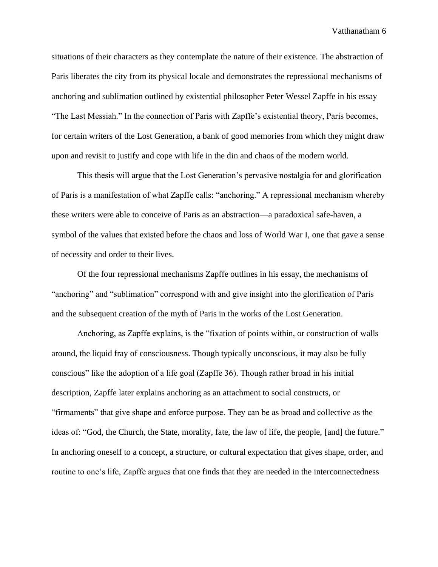situations of their characters as they contemplate the nature of their existence. The abstraction of Paris liberates the city from its physical locale and demonstrates the repressional mechanisms of anchoring and sublimation outlined by existential philosopher Peter Wessel Zapffe in his essay "The Last Messiah." In the connection of Paris with Zapffe's existential theory, Paris becomes, for certain writers of the Lost Generation, a bank of good memories from which they might draw upon and revisit to justify and cope with life in the din and chaos of the modern world.

This thesis will argue that the Lost Generation's pervasive nostalgia for and glorification of Paris is a manifestation of what Zapffe calls: "anchoring." A repressional mechanism whereby these writers were able to conceive of Paris as an abstraction—a paradoxical safe-haven, a symbol of the values that existed before the chaos and loss of World War I, one that gave a sense of necessity and order to their lives.

Of the four repressional mechanisms Zapffe outlines in his essay, the mechanisms of "anchoring" and "sublimation" correspond with and give insight into the glorification of Paris and the subsequent creation of the myth of Paris in the works of the Lost Generation.

Anchoring, as Zapffe explains, is the "fixation of points within, or construction of walls around, the liquid fray of consciousness. Though typically unconscious, it may also be fully conscious" like the adoption of a life goal (Zapffe 36). Though rather broad in his initial description, Zapffe later explains anchoring as an attachment to social constructs, or "firmaments" that give shape and enforce purpose. They can be as broad and collective as the ideas of: "God, the Church, the State, morality, fate, the law of life, the people, [and] the future." In anchoring oneself to a concept, a structure, or cultural expectation that gives shape, order, and routine to one's life, Zapffe argues that one finds that they are needed in the interconnectedness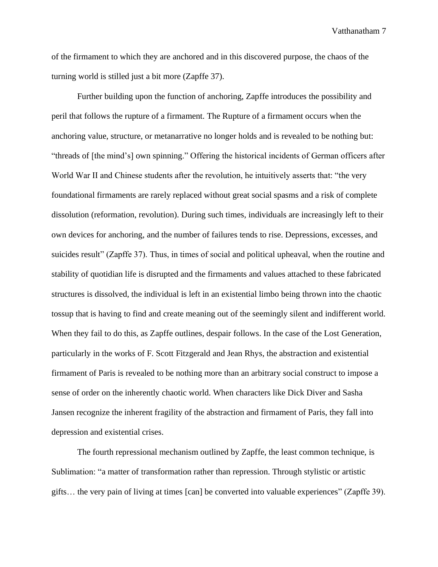of the firmament to which they are anchored and in this discovered purpose, the chaos of the turning world is stilled just a bit more (Zapffe 37).

Further building upon the function of anchoring, Zapffe introduces the possibility and peril that follows the rupture of a firmament. The Rupture of a firmament occurs when the anchoring value, structure, or metanarrative no longer holds and is revealed to be nothing but: "threads of [the mind's] own spinning." Offering the historical incidents of German officers after World War II and Chinese students after the revolution, he intuitively asserts that: "the very foundational firmaments are rarely replaced without great social spasms and a risk of complete dissolution (reformation, revolution). During such times, individuals are increasingly left to their own devices for anchoring, and the number of failures tends to rise. Depressions, excesses, and suicides result" (Zapffe 37). Thus, in times of social and political upheaval, when the routine and stability of quotidian life is disrupted and the firmaments and values attached to these fabricated structures is dissolved, the individual is left in an existential limbo being thrown into the chaotic tossup that is having to find and create meaning out of the seemingly silent and indifferent world. When they fail to do this, as Zapffe outlines, despair follows. In the case of the Lost Generation, particularly in the works of F. Scott Fitzgerald and Jean Rhys, the abstraction and existential firmament of Paris is revealed to be nothing more than an arbitrary social construct to impose a sense of order on the inherently chaotic world. When characters like Dick Diver and Sasha Jansen recognize the inherent fragility of the abstraction and firmament of Paris, they fall into depression and existential crises.

The fourth repressional mechanism outlined by Zapffe, the least common technique, is Sublimation: "a matter of transformation rather than repression. Through stylistic or artistic gifts… the very pain of living at times [can] be converted into valuable experiences" (Zapffe 39).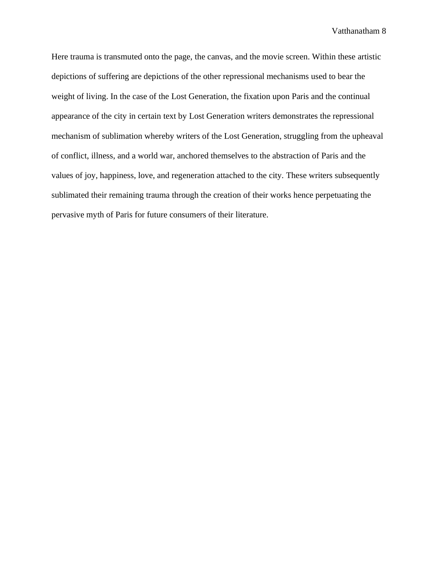Here trauma is transmuted onto the page, the canvas, and the movie screen. Within these artistic depictions of suffering are depictions of the other repressional mechanisms used to bear the weight of living. In the case of the Lost Generation, the fixation upon Paris and the continual appearance of the city in certain text by Lost Generation writers demonstrates the repressional mechanism of sublimation whereby writers of the Lost Generation, struggling from the upheaval of conflict, illness, and a world war, anchored themselves to the abstraction of Paris and the values of joy, happiness, love, and regeneration attached to the city. These writers subsequently sublimated their remaining trauma through the creation of their works hence perpetuating the pervasive myth of Paris for future consumers of their literature.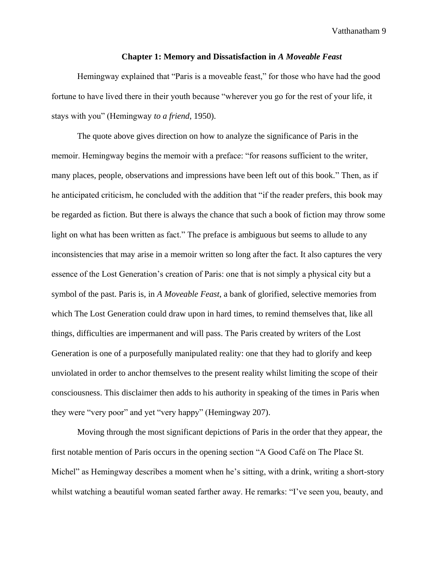#### **Chapter 1: Memory and Dissatisfaction in** *A Moveable Feast*

Hemingway explained that "Paris is a moveable feast," for those who have had the good fortune to have lived there in their youth because "wherever you go for the rest of your life, it stays with you" (Hemingway *to a friend*, 1950).

The quote above gives direction on how to analyze the significance of Paris in the memoir. Hemingway begins the memoir with a preface: "for reasons sufficient to the writer, many places, people, observations and impressions have been left out of this book." Then, as if he anticipated criticism, he concluded with the addition that "if the reader prefers, this book may be regarded as fiction. But there is always the chance that such a book of fiction may throw some light on what has been written as fact." The preface is ambiguous but seems to allude to any inconsistencies that may arise in a memoir written so long after the fact. It also captures the very essence of the Lost Generation's creation of Paris: one that is not simply a physical city but a symbol of the past. Paris is, in *A Moveable Feast*, a bank of glorified, selective memories from which The Lost Generation could draw upon in hard times, to remind themselves that, like all things, difficulties are impermanent and will pass. The Paris created by writers of the Lost Generation is one of a purposefully manipulated reality: one that they had to glorify and keep unviolated in order to anchor themselves to the present reality whilst limiting the scope of their consciousness. This disclaimer then adds to his authority in speaking of the times in Paris when they were "very poor" and yet "very happy" (Hemingway 207).

Moving through the most significant depictions of Paris in the order that they appear, the first notable mention of Paris occurs in the opening section "A Good Café on The Place St. Michel" as Hemingway describes a moment when he's sitting, with a drink, writing a short-story whilst watching a beautiful woman seated farther away. He remarks: "I've seen you, beauty, and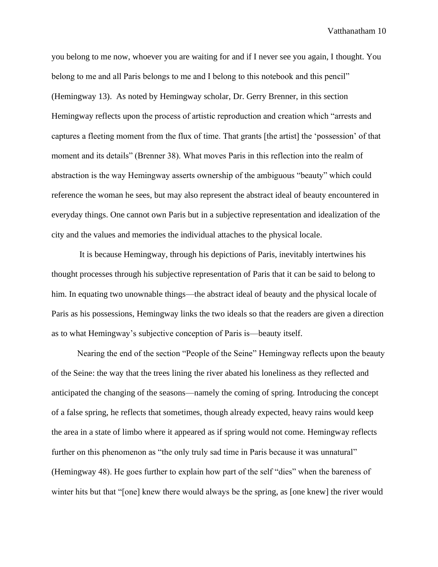you belong to me now, whoever you are waiting for and if I never see you again, I thought. You belong to me and all Paris belongs to me and I belong to this notebook and this pencil" (Hemingway 13). As noted by Hemingway scholar, Dr. Gerry Brenner, in this section Hemingway reflects upon the process of artistic reproduction and creation which "arrests and captures a fleeting moment from the flux of time. That grants [the artist] the 'possession' of that moment and its details" (Brenner 38). What moves Paris in this reflection into the realm of abstraction is the way Hemingway asserts ownership of the ambiguous "beauty" which could reference the woman he sees, but may also represent the abstract ideal of beauty encountered in everyday things. One cannot own Paris but in a subjective representation and idealization of the city and the values and memories the individual attaches to the physical locale.

It is because Hemingway, through his depictions of Paris, inevitably intertwines his thought processes through his subjective representation of Paris that it can be said to belong to him. In equating two unownable things—the abstract ideal of beauty and the physical locale of Paris as his possessions, Hemingway links the two ideals so that the readers are given a direction as to what Hemingway's subjective conception of Paris is—beauty itself.

Nearing the end of the section "People of the Seine" Hemingway reflects upon the beauty of the Seine: the way that the trees lining the river abated his loneliness as they reflected and anticipated the changing of the seasons—namely the coming of spring. Introducing the concept of a false spring, he reflects that sometimes, though already expected, heavy rains would keep the area in a state of limbo where it appeared as if spring would not come. Hemingway reflects further on this phenomenon as "the only truly sad time in Paris because it was unnatural" (Hemingway 48). He goes further to explain how part of the self "dies" when the bareness of winter hits but that "[one] knew there would always be the spring, as [one knew] the river would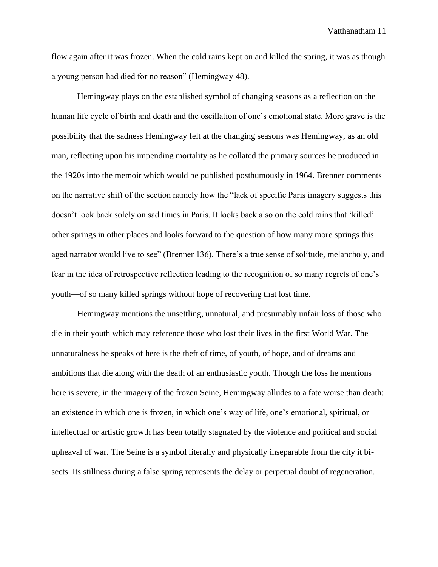flow again after it was frozen. When the cold rains kept on and killed the spring, it was as though a young person had died for no reason" (Hemingway 48).

Hemingway plays on the established symbol of changing seasons as a reflection on the human life cycle of birth and death and the oscillation of one's emotional state. More grave is the possibility that the sadness Hemingway felt at the changing seasons was Hemingway, as an old man, reflecting upon his impending mortality as he collated the primary sources he produced in the 1920s into the memoir which would be published posthumously in 1964. Brenner comments on the narrative shift of the section namely how the "lack of specific Paris imagery suggests this doesn't look back solely on sad times in Paris. It looks back also on the cold rains that 'killed' other springs in other places and looks forward to the question of how many more springs this aged narrator would live to see" (Brenner 136). There's a true sense of solitude, melancholy, and fear in the idea of retrospective reflection leading to the recognition of so many regrets of one's youth—of so many killed springs without hope of recovering that lost time.

Hemingway mentions the unsettling, unnatural, and presumably unfair loss of those who die in their youth which may reference those who lost their lives in the first World War. The unnaturalness he speaks of here is the theft of time, of youth, of hope, and of dreams and ambitions that die along with the death of an enthusiastic youth. Though the loss he mentions here is severe, in the imagery of the frozen Seine, Hemingway alludes to a fate worse than death: an existence in which one is frozen, in which one's way of life, one's emotional, spiritual, or intellectual or artistic growth has been totally stagnated by the violence and political and social upheaval of war. The Seine is a symbol literally and physically inseparable from the city it bisects. Its stillness during a false spring represents the delay or perpetual doubt of regeneration.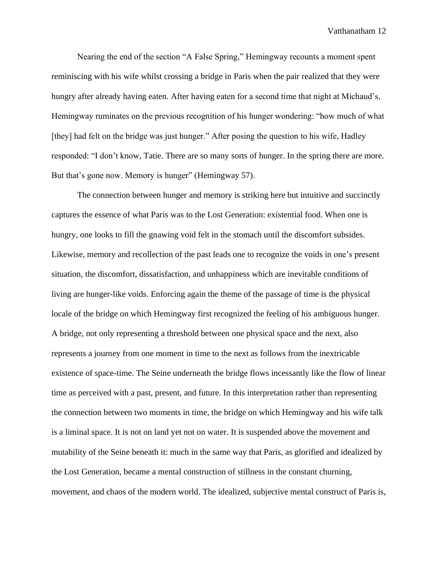Nearing the end of the section "A False Spring," Hemingway recounts a moment spent reminiscing with his wife whilst crossing a bridge in Paris when the pair realized that they were hungry after already having eaten. After having eaten for a second time that night at Michaud's, Hemingway ruminates on the previous recognition of his hunger wondering: "how much of what [they] had felt on the bridge was just hunger." After posing the question to his wife, Hadley responded: "I don't know, Tatie. There are so many sorts of hunger. In the spring there are more. But that's gone now. Memory is hunger" (Hemingway 57).

The connection between hunger and memory is striking here but intuitive and succinctly captures the essence of what Paris was to the Lost Generation: existential food. When one is hungry, one looks to fill the gnawing void felt in the stomach until the discomfort subsides. Likewise, memory and recollection of the past leads one to recognize the voids in one's present situation, the discomfort, dissatisfaction, and unhappiness which are inevitable conditions of living are hunger-like voids. Enforcing again the theme of the passage of time is the physical locale of the bridge on which Hemingway first recognized the feeling of his ambiguous hunger. A bridge, not only representing a threshold between one physical space and the next, also represents a journey from one moment in time to the next as follows from the inextricable existence of space-time. The Seine underneath the bridge flows incessantly like the flow of linear time as perceived with a past, present, and future. In this interpretation rather than representing the connection between two moments in time, the bridge on which Hemingway and his wife talk is a liminal space. It is not on land yet not on water. It is suspended above the movement and mutability of the Seine beneath it: much in the same way that Paris, as glorified and idealized by the Lost Generation, became a mental construction of stillness in the constant churning, movement, and chaos of the modern world. The idealized, subjective mental construct of Paris is,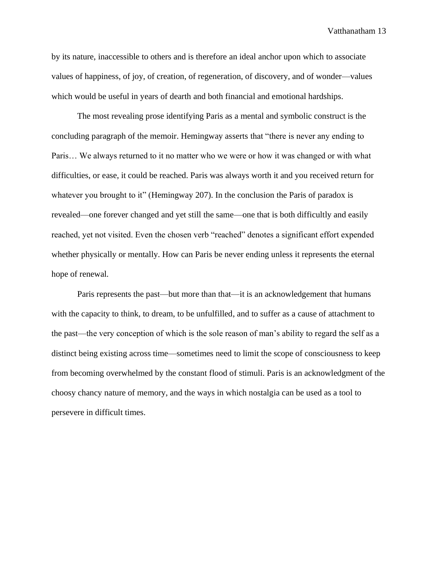by its nature, inaccessible to others and is therefore an ideal anchor upon which to associate values of happiness, of joy, of creation, of regeneration, of discovery, and of wonder—values which would be useful in years of dearth and both financial and emotional hardships.

The most revealing prose identifying Paris as a mental and symbolic construct is the concluding paragraph of the memoir. Hemingway asserts that "there is never any ending to Paris… We always returned to it no matter who we were or how it was changed or with what difficulties, or ease, it could be reached. Paris was always worth it and you received return for whatever you brought to it" (Hemingway 207). In the conclusion the Paris of paradox is revealed—one forever changed and yet still the same—one that is both difficultly and easily reached, yet not visited. Even the chosen verb "reached" denotes a significant effort expended whether physically or mentally. How can Paris be never ending unless it represents the eternal hope of renewal.

Paris represents the past—but more than that—it is an acknowledgement that humans with the capacity to think, to dream, to be unfulfilled, and to suffer as a cause of attachment to the past—the very conception of which is the sole reason of man's ability to regard the self as a distinct being existing across time—sometimes need to limit the scope of consciousness to keep from becoming overwhelmed by the constant flood of stimuli. Paris is an acknowledgment of the choosy chancy nature of memory, and the ways in which nostalgia can be used as a tool to persevere in difficult times.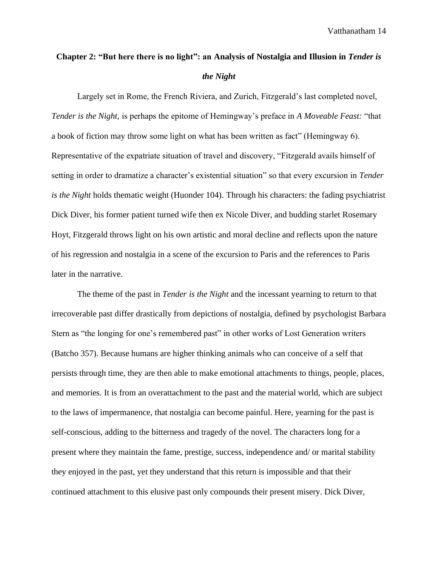## **Chapter 2: "But here there is no light": an Analysis of Nostalgia and Illusion in** *Tender is the Night*

Largely set in Rome, the French Riviera, and Zurich, Fitzgerald's last completed novel, *Tender is the Night,* is perhaps the epitome of Hemingway's preface in *A Moveable Feast:* "that a book of fiction may throw some light on what has been written as fact" (Hemingway 6). Representative of the expatriate situation of travel and discovery, "Fitzgerald avails himself of setting in order to dramatize a character's existential situation" so that every excursion in *Tender is the Night* holds thematic weight (Huonder 104). Through his characters: the fading psychiatrist Dick Diver, his former patient turned wife then ex Nicole Diver, and budding starlet Rosemary Hoyt, Fitzgerald throws light on his own artistic and moral decline and reflects upon the nature of his regression and nostalgia in a scene of the excursion to Paris and the references to Paris later in the narrative.

The theme of the past in *Tender is the Night* and the incessant yearning to return to that irrecoverable past differ drastically from depictions of nostalgia, defined by psychologist Barbara Stern as "the longing for one's remembered past" in other works of Lost Generation writers (Batcho 357). Because humans are higher thinking animals who can conceive of a self that persists through time, they are then able to make emotional attachments to things, people, places, and memories. It is from an overattachment to the past and the material world, which are subject to the laws of impermanence, that nostalgia can become painful. Here, yearning for the past is self-conscious, adding to the bitterness and tragedy of the novel. The characters long for a present where they maintain the fame, prestige, success, independence and/ or marital stability they enjoyed in the past, yet they understand that this return is impossible and that their continued attachment to this elusive past only compounds their present misery. Dick Diver,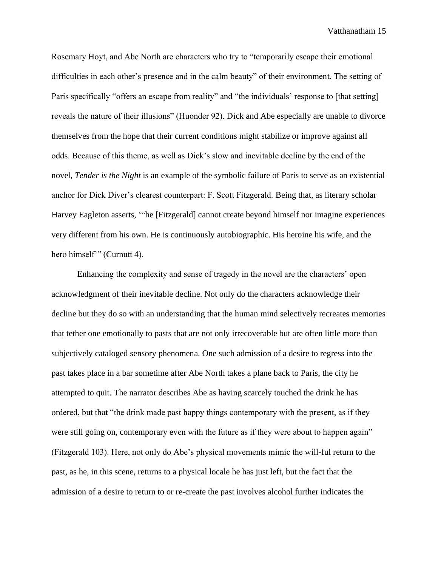Rosemary Hoyt, and Abe North are characters who try to "temporarily escape their emotional difficulties in each other's presence and in the calm beauty" of their environment. The setting of Paris specifically "offers an escape from reality" and "the individuals' response to [that setting] reveals the nature of their illusions" (Huonder 92). Dick and Abe especially are unable to divorce themselves from the hope that their current conditions might stabilize or improve against all odds. Because of this theme, as well as Dick's slow and inevitable decline by the end of the novel, *Tender is the Night* is an example of the symbolic failure of Paris to serve as an existential anchor for Dick Diver's clearest counterpart: F. Scott Fitzgerald. Being that, as literary scholar Harvey Eagleton asserts, '"he [Fitzgerald] cannot create beyond himself nor imagine experiences very different from his own. He is continuously autobiographic. His heroine his wife, and the hero himself" (Curnutt 4).

Enhancing the complexity and sense of tragedy in the novel are the characters' open acknowledgment of their inevitable decline. Not only do the characters acknowledge their decline but they do so with an understanding that the human mind selectively recreates memories that tether one emotionally to pasts that are not only irrecoverable but are often little more than subjectively cataloged sensory phenomena. One such admission of a desire to regress into the past takes place in a bar sometime after Abe North takes a plane back to Paris, the city he attempted to quit. The narrator describes Abe as having scarcely touched the drink he has ordered, but that "the drink made past happy things contemporary with the present, as if they were still going on, contemporary even with the future as if they were about to happen again" (Fitzgerald 103). Here, not only do Abe's physical movements mimic the will-ful return to the past, as he, in this scene, returns to a physical locale he has just left, but the fact that the admission of a desire to return to or re-create the past involves alcohol further indicates the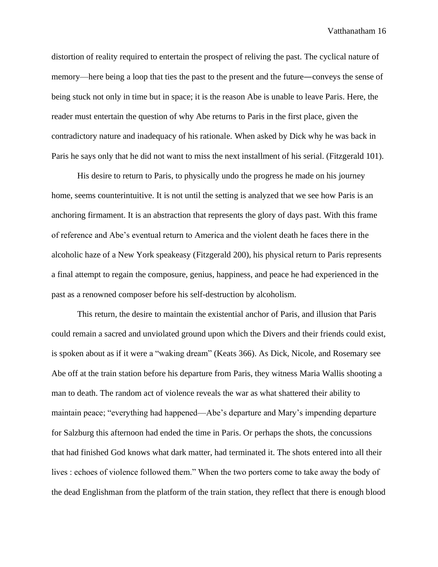distortion of reality required to entertain the prospect of reliving the past. The cyclical nature of memory—here being a loop that ties the past to the present and the future—conveys the sense of being stuck not only in time but in space; it is the reason Abe is unable to leave Paris. Here, the reader must entertain the question of why Abe returns to Paris in the first place, given the contradictory nature and inadequacy of his rationale. When asked by Dick why he was back in Paris he says only that he did not want to miss the next installment of his serial. (Fitzgerald 101).

His desire to return to Paris, to physically undo the progress he made on his journey home, seems counterintuitive. It is not until the setting is analyzed that we see how Paris is an anchoring firmament. It is an abstraction that represents the glory of days past. With this frame of reference and Abe's eventual return to America and the violent death he faces there in the alcoholic haze of a New York speakeasy (Fitzgerald 200), his physical return to Paris represents a final attempt to regain the composure, genius, happiness, and peace he had experienced in the past as a renowned composer before his self-destruction by alcoholism.

This return, the desire to maintain the existential anchor of Paris, and illusion that Paris could remain a sacred and unviolated ground upon which the Divers and their friends could exist, is spoken about as if it were a "waking dream" (Keats 366). As Dick, Nicole, and Rosemary see Abe off at the train station before his departure from Paris, they witness Maria Wallis shooting a man to death. The random act of violence reveals the war as what shattered their ability to maintain peace; "everything had happened—Abe's departure and Mary's impending departure for Salzburg this afternoon had ended the time in Paris. Or perhaps the shots, the concussions that had finished God knows what dark matter, had terminated it. The shots entered into all their lives : echoes of violence followed them." When the two porters come to take away the body of the dead Englishman from the platform of the train station, they reflect that there is enough blood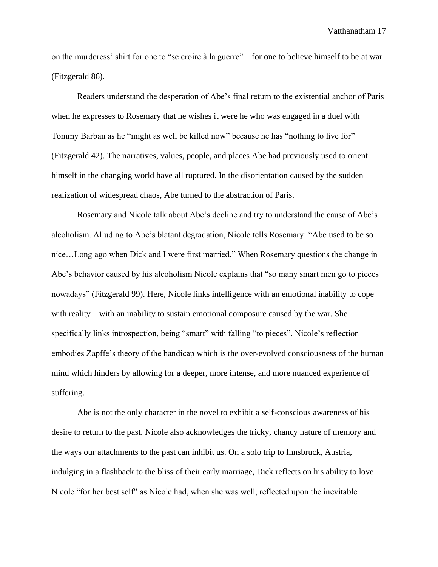on the murderess' shirt for one to "se croire à la guerre"—for one to believe himself to be at war (Fitzgerald 86).

Readers understand the desperation of Abe's final return to the existential anchor of Paris when he expresses to Rosemary that he wishes it were he who was engaged in a duel with Tommy Barban as he "might as well be killed now" because he has "nothing to live for" (Fitzgerald 42). The narratives, values, people, and places Abe had previously used to orient himself in the changing world have all ruptured. In the disorientation caused by the sudden realization of widespread chaos, Abe turned to the abstraction of Paris.

Rosemary and Nicole talk about Abe's decline and try to understand the cause of Abe's alcoholism. Alluding to Abe's blatant degradation, Nicole tells Rosemary: "Abe used to be so nice…Long ago when Dick and I were first married." When Rosemary questions the change in Abe's behavior caused by his alcoholism Nicole explains that "so many smart men go to pieces nowadays" (Fitzgerald 99). Here, Nicole links intelligence with an emotional inability to cope with reality—with an inability to sustain emotional composure caused by the war. She specifically links introspection, being "smart" with falling "to pieces". Nicole's reflection embodies Zapffe's theory of the handicap which is the over-evolved consciousness of the human mind which hinders by allowing for a deeper, more intense, and more nuanced experience of suffering.

Abe is not the only character in the novel to exhibit a self-conscious awareness of his desire to return to the past. Nicole also acknowledges the tricky, chancy nature of memory and the ways our attachments to the past can inhibit us. On a solo trip to Innsbruck, Austria, indulging in a flashback to the bliss of their early marriage, Dick reflects on his ability to love Nicole "for her best self" as Nicole had, when she was well, reflected upon the inevitable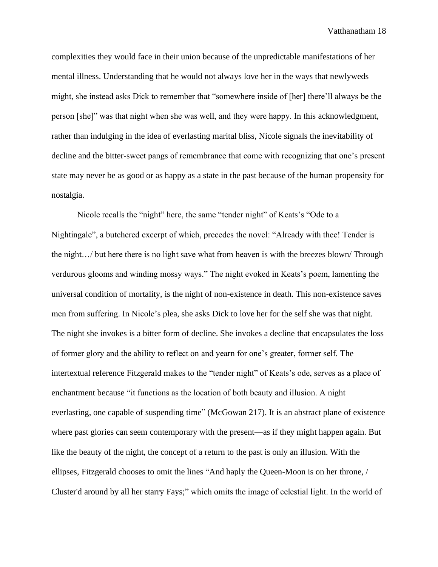complexities they would face in their union because of the unpredictable manifestations of her mental illness. Understanding that he would not always love her in the ways that newlyweds might, she instead asks Dick to remember that "somewhere inside of [her] there'll always be the person [she]" was that night when she was well, and they were happy. In this acknowledgment, rather than indulging in the idea of everlasting marital bliss, Nicole signals the inevitability of decline and the bitter-sweet pangs of remembrance that come with recognizing that one's present state may never be as good or as happy as a state in the past because of the human propensity for nostalgia.

Nicole recalls the "night" here, the same "tender night" of Keats's "Ode to a Nightingale", a butchered excerpt of which, precedes the novel: "Already with thee! Tender is the night…/ but here there is no light save what from heaven is with the breezes blown/ Through verdurous glooms and winding mossy ways." The night evoked in Keats's poem, lamenting the universal condition of mortality, is the night of non-existence in death. This non-existence saves men from suffering. In Nicole's plea, she asks Dick to love her for the self she was that night. The night she invokes is a bitter form of decline. She invokes a decline that encapsulates the loss of former glory and the ability to reflect on and yearn for one's greater, former self. The intertextual reference Fitzgerald makes to the "tender night" of Keats's ode, serves as a place of enchantment because "it functions as the location of both beauty and illusion. A night everlasting, one capable of suspending time" (McGowan 217). It is an abstract plane of existence where past glories can seem contemporary with the present—as if they might happen again. But like the beauty of the night, the concept of a return to the past is only an illusion. With the ellipses, Fitzgerald chooses to omit the lines "And haply the Queen-Moon is on her throne, / Cluster'd around by all her starry Fays;" which omits the image of celestial light. In the world of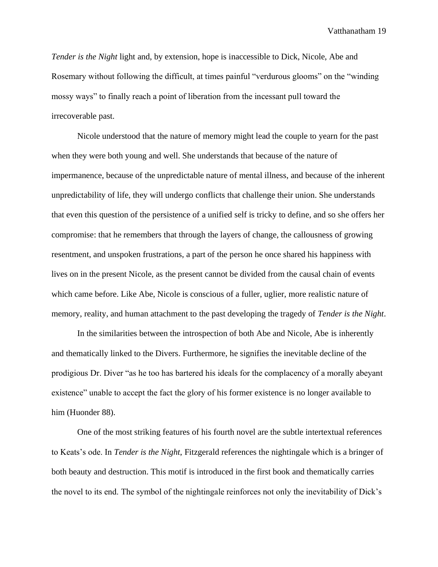*Tender is the Night* light and, by extension, hope is inaccessible to Dick, Nicole, Abe and Rosemary without following the difficult, at times painful "verdurous glooms" on the "winding mossy ways" to finally reach a point of liberation from the incessant pull toward the irrecoverable past.

Nicole understood that the nature of memory might lead the couple to yearn for the past when they were both young and well. She understands that because of the nature of impermanence, because of the unpredictable nature of mental illness, and because of the inherent unpredictability of life, they will undergo conflicts that challenge their union. She understands that even this question of the persistence of a unified self is tricky to define, and so she offers her compromise: that he remembers that through the layers of change, the callousness of growing resentment, and unspoken frustrations, a part of the person he once shared his happiness with lives on in the present Nicole, as the present cannot be divided from the causal chain of events which came before. Like Abe, Nicole is conscious of a fuller, uglier, more realistic nature of memory, reality, and human attachment to the past developing the tragedy of *Tender is the Night*.

In the similarities between the introspection of both Abe and Nicole, Abe is inherently and thematically linked to the Divers. Furthermore, he signifies the inevitable decline of the prodigious Dr. Diver "as he too has bartered his ideals for the complacency of a morally abeyant existence" unable to accept the fact the glory of his former existence is no longer available to him (Huonder 88).

One of the most striking features of his fourth novel are the subtle intertextual references to Keats's ode. In *Tender is the Night*, Fitzgerald references the nightingale which is a bringer of both beauty and destruction. This motif is introduced in the first book and thematically carries the novel to its end. The symbol of the nightingale reinforces not only the inevitability of Dick's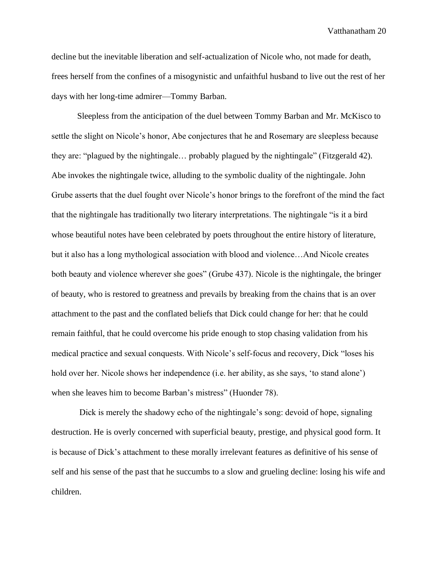decline but the inevitable liberation and self-actualization of Nicole who, not made for death, frees herself from the confines of a misogynistic and unfaithful husband to live out the rest of her days with her long-time admirer—Tommy Barban.

Sleepless from the anticipation of the duel between Tommy Barban and Mr. McKisco to settle the slight on Nicole's honor, Abe conjectures that he and Rosemary are sleepless because they are: "plagued by the nightingale… probably plagued by the nightingale" (Fitzgerald 42). Abe invokes the nightingale twice, alluding to the symbolic duality of the nightingale. John Grube asserts that the duel fought over Nicole's honor brings to the forefront of the mind the fact that the nightingale has traditionally two literary interpretations. The nightingale "is it a bird whose beautiful notes have been celebrated by poets throughout the entire history of literature, but it also has a long mythological association with blood and violence…And Nicole creates both beauty and violence wherever she goes" (Grube 437). Nicole is the nightingale, the bringer of beauty, who is restored to greatness and prevails by breaking from the chains that is an over attachment to the past and the conflated beliefs that Dick could change for her: that he could remain faithful, that he could overcome his pride enough to stop chasing validation from his medical practice and sexual conquests. With Nicole's self-focus and recovery, Dick "loses his hold over her. Nicole shows her independence (i.e. her ability, as she says, 'to stand alone') when she leaves him to become Barban's mistress" (Huonder 78).

Dick is merely the shadowy echo of the nightingale's song: devoid of hope, signaling destruction. He is overly concerned with superficial beauty, prestige, and physical good form. It is because of Dick's attachment to these morally irrelevant features as definitive of his sense of self and his sense of the past that he succumbs to a slow and grueling decline: losing his wife and children.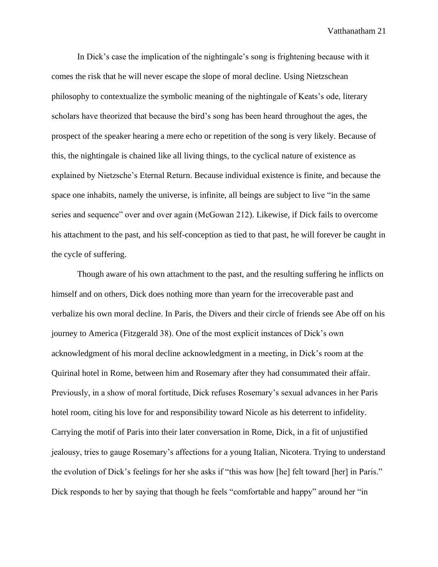In Dick's case the implication of the nightingale's song is frightening because with it comes the risk that he will never escape the slope of moral decline. Using Nietzschean philosophy to contextualize the symbolic meaning of the nightingale of Keats's ode, literary scholars have theorized that because the bird's song has been heard throughout the ages, the prospect of the speaker hearing a mere echo or repetition of the song is very likely. Because of this, the nightingale is chained like all living things, to the cyclical nature of existence as explained by Nietzsche's Eternal Return. Because individual existence is finite, and because the space one inhabits, namely the universe, is infinite, all beings are subject to live "in the same series and sequence" over and over again (McGowan 212). Likewise, if Dick fails to overcome his attachment to the past, and his self-conception as tied to that past, he will forever be caught in the cycle of suffering.

Though aware of his own attachment to the past, and the resulting suffering he inflicts on himself and on others, Dick does nothing more than yearn for the irrecoverable past and verbalize his own moral decline. In Paris, the Divers and their circle of friends see Abe off on his journey to America (Fitzgerald 38). One of the most explicit instances of Dick's own acknowledgment of his moral decline acknowledgment in a meeting, in Dick's room at the Quirinal hotel in Rome, between him and Rosemary after they had consummated their affair. Previously, in a show of moral fortitude, Dick refuses Rosemary's sexual advances in her Paris hotel room, citing his love for and responsibility toward Nicole as his deterrent to infidelity. Carrying the motif of Paris into their later conversation in Rome, Dick, in a fit of unjustified jealousy, tries to gauge Rosemary's affections for a young Italian, Nicotera. Trying to understand the evolution of Dick's feelings for her she asks if "this was how [he] felt toward [her] in Paris." Dick responds to her by saying that though he feels "comfortable and happy" around her "in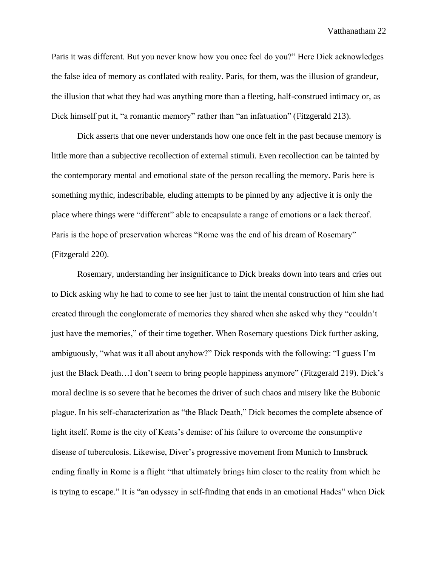Paris it was different. But you never know how you once feel do you?" Here Dick acknowledges the false idea of memory as conflated with reality. Paris, for them, was the illusion of grandeur, the illusion that what they had was anything more than a fleeting, half-construed intimacy or, as Dick himself put it, "a romantic memory" rather than "an infatuation" (Fitzgerald 213).

Dick asserts that one never understands how one once felt in the past because memory is little more than a subjective recollection of external stimuli. Even recollection can be tainted by the contemporary mental and emotional state of the person recalling the memory. Paris here is something mythic, indescribable, eluding attempts to be pinned by any adjective it is only the place where things were "different" able to encapsulate a range of emotions or a lack thereof. Paris is the hope of preservation whereas "Rome was the end of his dream of Rosemary" (Fitzgerald 220).

Rosemary, understanding her insignificance to Dick breaks down into tears and cries out to Dick asking why he had to come to see her just to taint the mental construction of him she had created through the conglomerate of memories they shared when she asked why they "couldn't just have the memories," of their time together. When Rosemary questions Dick further asking, ambiguously, "what was it all about anyhow?" Dick responds with the following: "I guess I'm just the Black Death…I don't seem to bring people happiness anymore" (Fitzgerald 219). Dick's moral decline is so severe that he becomes the driver of such chaos and misery like the Bubonic plague. In his self-characterization as "the Black Death," Dick becomes the complete absence of light itself. Rome is the city of Keats's demise: of his failure to overcome the consumptive disease of tuberculosis. Likewise, Diver's progressive movement from Munich to Innsbruck ending finally in Rome is a flight "that ultimately brings him closer to the reality from which he is trying to escape." It is "an odyssey in self-finding that ends in an emotional Hades" when Dick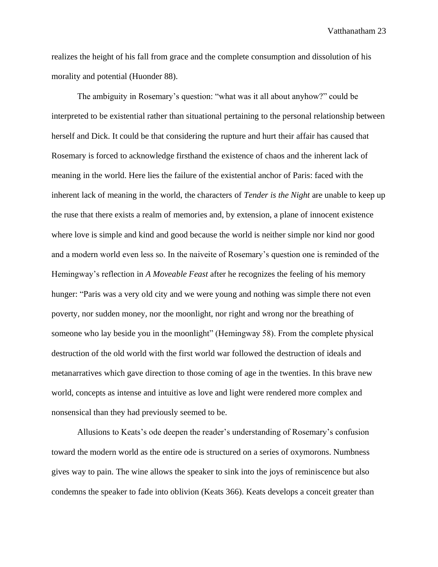realizes the height of his fall from grace and the complete consumption and dissolution of his morality and potential (Huonder 88).

The ambiguity in Rosemary's question: "what was it all about anyhow?" could be interpreted to be existential rather than situational pertaining to the personal relationship between herself and Dick. It could be that considering the rupture and hurt their affair has caused that Rosemary is forced to acknowledge firsthand the existence of chaos and the inherent lack of meaning in the world. Here lies the failure of the existential anchor of Paris: faced with the inherent lack of meaning in the world, the characters of *Tender is the Night* are unable to keep up the ruse that there exists a realm of memories and, by extension, a plane of innocent existence where love is simple and kind and good because the world is neither simple nor kind nor good and a modern world even less so. In the naiveite of Rosemary's question one is reminded of the Hemingway's reflection in *A Moveable Feast* after he recognizes the feeling of his memory hunger: "Paris was a very old city and we were young and nothing was simple there not even poverty, nor sudden money, nor the moonlight, nor right and wrong nor the breathing of someone who lay beside you in the moonlight" (Hemingway 58). From the complete physical destruction of the old world with the first world war followed the destruction of ideals and metanarratives which gave direction to those coming of age in the twenties. In this brave new world, concepts as intense and intuitive as love and light were rendered more complex and nonsensical than they had previously seemed to be.

Allusions to Keats's ode deepen the reader's understanding of Rosemary's confusion toward the modern world as the entire ode is structured on a series of oxymorons. Numbness gives way to pain. The wine allows the speaker to sink into the joys of reminiscence but also condemns the speaker to fade into oblivion (Keats 366). Keats develops a conceit greater than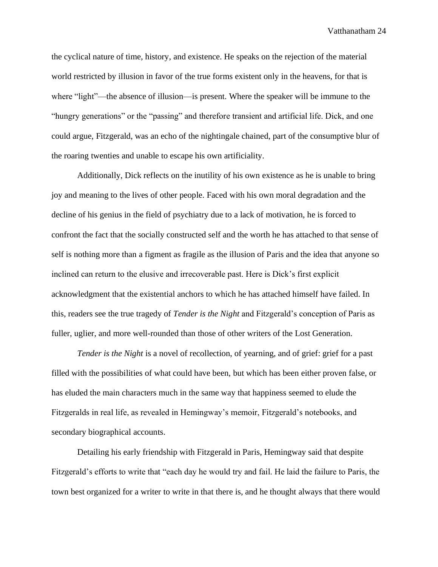the cyclical nature of time, history, and existence. He speaks on the rejection of the material world restricted by illusion in favor of the true forms existent only in the heavens, for that is where "light"—the absence of illusion—is present. Where the speaker will be immune to the "hungry generations" or the "passing" and therefore transient and artificial life. Dick, and one could argue, Fitzgerald, was an echo of the nightingale chained, part of the consumptive blur of the roaring twenties and unable to escape his own artificiality.

Additionally, Dick reflects on the inutility of his own existence as he is unable to bring joy and meaning to the lives of other people. Faced with his own moral degradation and the decline of his genius in the field of psychiatry due to a lack of motivation, he is forced to confront the fact that the socially constructed self and the worth he has attached to that sense of self is nothing more than a figment as fragile as the illusion of Paris and the idea that anyone so inclined can return to the elusive and irrecoverable past. Here is Dick's first explicit acknowledgment that the existential anchors to which he has attached himself have failed. In this, readers see the true tragedy of *Tender is the Night* and Fitzgerald's conception of Paris as fuller, uglier, and more well-rounded than those of other writers of the Lost Generation.

*Tender is the Night* is a novel of recollection, of yearning, and of grief: grief for a past filled with the possibilities of what could have been, but which has been either proven false, or has eluded the main characters much in the same way that happiness seemed to elude the Fitzgeralds in real life, as revealed in Hemingway's memoir, Fitzgerald's notebooks, and secondary biographical accounts.

Detailing his early friendship with Fitzgerald in Paris, Hemingway said that despite Fitzgerald's efforts to write that "each day he would try and fail. He laid the failure to Paris, the town best organized for a writer to write in that there is, and he thought always that there would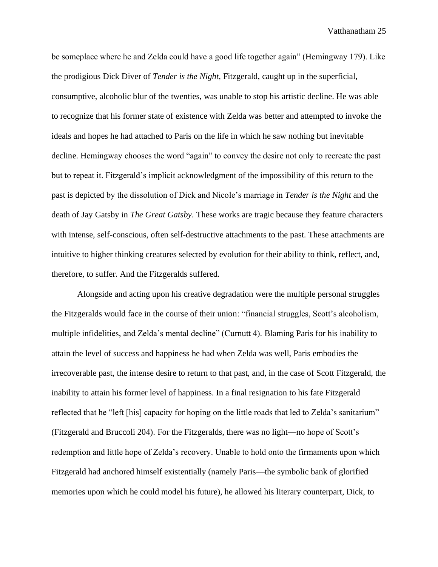be someplace where he and Zelda could have a good life together again" (Hemingway 179). Like the prodigious Dick Diver of *Tender is the Night*, Fitzgerald, caught up in the superficial, consumptive, alcoholic blur of the twenties, was unable to stop his artistic decline. He was able to recognize that his former state of existence with Zelda was better and attempted to invoke the ideals and hopes he had attached to Paris on the life in which he saw nothing but inevitable decline. Hemingway chooses the word "again" to convey the desire not only to recreate the past but to repeat it. Fitzgerald's implicit acknowledgment of the impossibility of this return to the past is depicted by the dissolution of Dick and Nicole's marriage in *Tender is the Night* and the death of Jay Gatsby in *The Great Gatsby*. These works are tragic because they feature characters with intense, self-conscious, often self-destructive attachments to the past. These attachments are intuitive to higher thinking creatures selected by evolution for their ability to think, reflect, and, therefore, to suffer. And the Fitzgeralds suffered.

Alongside and acting upon his creative degradation were the multiple personal struggles the Fitzgeralds would face in the course of their union: "financial struggles, Scott's alcoholism, multiple infidelities, and Zelda's mental decline" (Curnutt 4). Blaming Paris for his inability to attain the level of success and happiness he had when Zelda was well, Paris embodies the irrecoverable past, the intense desire to return to that past, and, in the case of Scott Fitzgerald, the inability to attain his former level of happiness. In a final resignation to his fate Fitzgerald reflected that he "left [his] capacity for hoping on the little roads that led to Zelda's sanitarium" (Fitzgerald and Bruccoli 204). For the Fitzgeralds, there was no light—no hope of Scott's redemption and little hope of Zelda's recovery. Unable to hold onto the firmaments upon which Fitzgerald had anchored himself existentially (namely Paris—the symbolic bank of glorified memories upon which he could model his future), he allowed his literary counterpart, Dick, to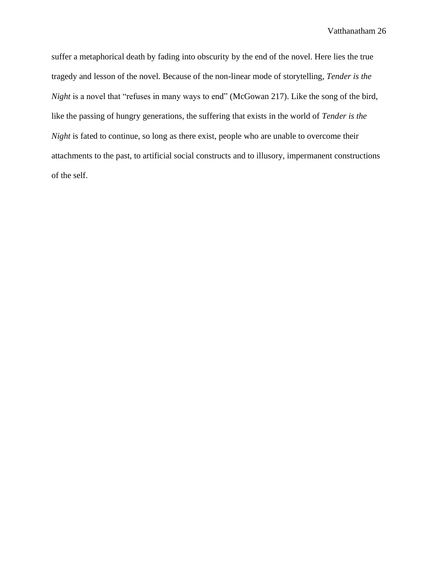suffer a metaphorical death by fading into obscurity by the end of the novel. Here lies the true tragedy and lesson of the novel. Because of the non-linear mode of storytelling, *Tender is the Night* is a novel that "refuses in many ways to end" (McGowan 217). Like the song of the bird, like the passing of hungry generations, the suffering that exists in the world of *Tender is the Night* is fated to continue, so long as there exist, people who are unable to overcome their attachments to the past, to artificial social constructs and to illusory, impermanent constructions of the self.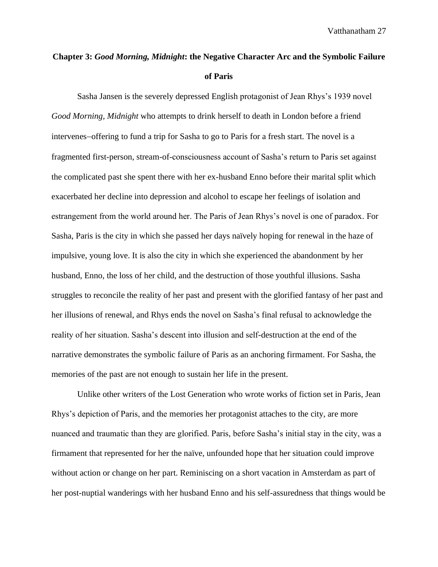## **Chapter 3:** *Good Morning, Midnight***: the Negative Character Arc and the Symbolic Failure of Paris**

Sasha Jansen is the severely depressed English protagonist of Jean Rhys's 1939 novel *Good Morning, Midnight* who attempts to drink herself to death in London before a friend intervenes−offering to fund a trip for Sasha to go to Paris for a fresh start. The novel is a fragmented first-person, stream-of-consciousness account of Sasha's return to Paris set against the complicated past she spent there with her ex-husband Enno before their marital split which exacerbated her decline into depression and alcohol to escape her feelings of isolation and estrangement from the world around her. The Paris of Jean Rhys's novel is one of paradox. For Sasha, Paris is the city in which she passed her days naïvely hoping for renewal in the haze of impulsive, young love. It is also the city in which she experienced the abandonment by her husband, Enno, the loss of her child, and the destruction of those youthful illusions. Sasha struggles to reconcile the reality of her past and present with the glorified fantasy of her past and her illusions of renewal, and Rhys ends the novel on Sasha's final refusal to acknowledge the reality of her situation. Sasha's descent into illusion and self-destruction at the end of the narrative demonstrates the symbolic failure of Paris as an anchoring firmament. For Sasha, the memories of the past are not enough to sustain her life in the present.

Unlike other writers of the Lost Generation who wrote works of fiction set in Paris, Jean Rhys's depiction of Paris, and the memories her protagonist attaches to the city, are more nuanced and traumatic than they are glorified. Paris, before Sasha's initial stay in the city, was a firmament that represented for her the naïve, unfounded hope that her situation could improve without action or change on her part. Reminiscing on a short vacation in Amsterdam as part of her post-nuptial wanderings with her husband Enno and his self-assuredness that things would be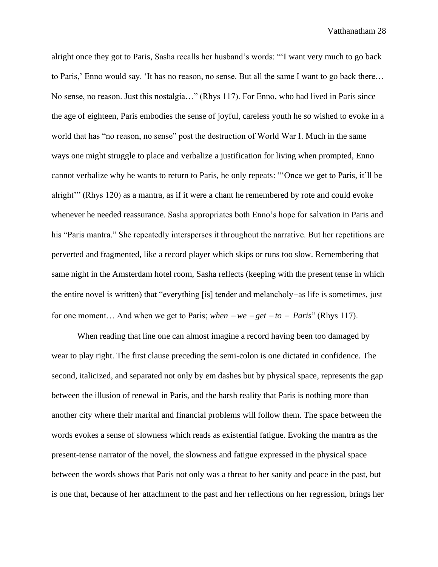alright once they got to Paris, Sasha recalls her husband's words: "'I want very much to go back to Paris,' Enno would say. 'It has no reason, no sense. But all the same I want to go back there… No sense, no reason. Just this nostalgia…" (Rhys 117). For Enno, who had lived in Paris since the age of eighteen, Paris embodies the sense of joyful, careless youth he so wished to evoke in a world that has "no reason, no sense" post the destruction of World War I. Much in the same ways one might struggle to place and verbalize a justification for living when prompted, Enno cannot verbalize why he wants to return to Paris, he only repeats: "'Once we get to Paris, it'll be alright'" (Rhys 120) as a mantra, as if it were a chant he remembered by rote and could evoke whenever he needed reassurance. Sasha appropriates both Enno's hope for salvation in Paris and his "Paris mantra." She repeatedly intersperses it throughout the narrative. But her repetitions are perverted and fragmented, like a record player which skips or runs too slow. Remembering that same night in the Amsterdam hotel room, Sasha reflects (keeping with the present tense in which the entire novel is written) that "everything [is] tender and melancholy−as life is sometimes, just for one moment… And when we get to Paris; *when* <sup>−</sup> *we* <sup>−</sup> *get* <sup>−</sup> *to* − *Paris*" (Rhys 117).

When reading that line one can almost imagine a record having been too damaged by wear to play right. The first clause preceding the semi-colon is one dictated in confidence. The second, italicized, and separated not only by em dashes but by physical space, represents the gap between the illusion of renewal in Paris, and the harsh reality that Paris is nothing more than another city where their marital and financial problems will follow them. The space between the words evokes a sense of slowness which reads as existential fatigue. Evoking the mantra as the present-tense narrator of the novel, the slowness and fatigue expressed in the physical space between the words shows that Paris not only was a threat to her sanity and peace in the past, but is one that, because of her attachment to the past and her reflections on her regression, brings her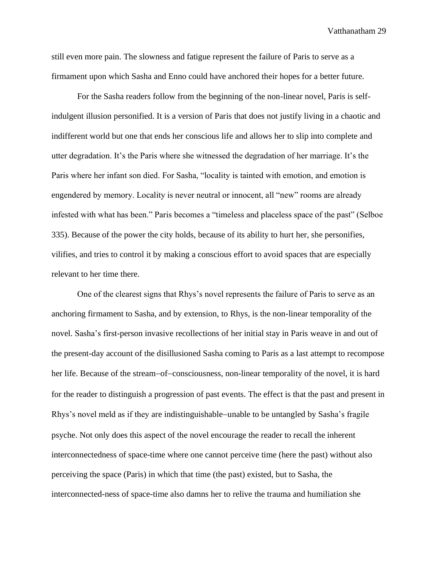still even more pain. The slowness and fatigue represent the failure of Paris to serve as a firmament upon which Sasha and Enno could have anchored their hopes for a better future.

For the Sasha readers follow from the beginning of the non-linear novel, Paris is selfindulgent illusion personified. It is a version of Paris that does not justify living in a chaotic and indifferent world but one that ends her conscious life and allows her to slip into complete and utter degradation. It's the Paris where she witnessed the degradation of her marriage. It's the Paris where her infant son died. For Sasha, "locality is tainted with emotion, and emotion is engendered by memory. Locality is never neutral or innocent, all "new" rooms are already infested with what has been." Paris becomes a "timeless and placeless space of the past" (Selboe 335). Because of the power the city holds, because of its ability to hurt her, she personifies, vilifies, and tries to control it by making a conscious effort to avoid spaces that are especially relevant to her time there.

One of the clearest signs that Rhys's novel represents the failure of Paris to serve as an anchoring firmament to Sasha, and by extension, to Rhys, is the non-linear temporality of the novel. Sasha's first-person invasive recollections of her initial stay in Paris weave in and out of the present-day account of the disillusioned Sasha coming to Paris as a last attempt to recompose her life. Because of the stream−of−consciousness, non-linear temporality of the novel, it is hard for the reader to distinguish a progression of past events. The effect is that the past and present in Rhys's novel meld as if they are indistinguishable−unable to be untangled by Sasha's fragile psyche. Not only does this aspect of the novel encourage the reader to recall the inherent interconnectedness of space-time where one cannot perceive time (here the past) without also perceiving the space (Paris) in which that time (the past) existed, but to Sasha, the interconnected-ness of space-time also damns her to relive the trauma and humiliation she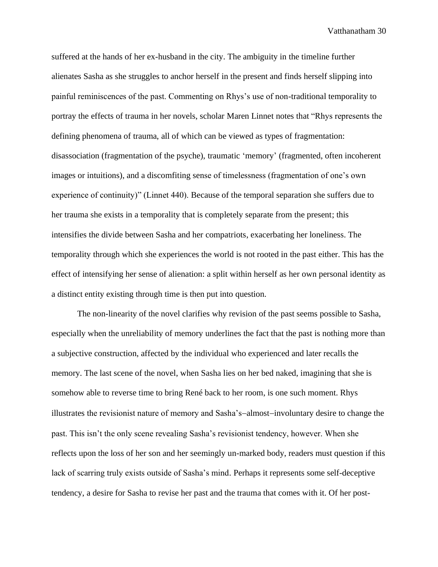suffered at the hands of her ex-husband in the city. The ambiguity in the timeline further alienates Sasha as she struggles to anchor herself in the present and finds herself slipping into painful reminiscences of the past. Commenting on Rhys's use of non-traditional temporality to portray the effects of trauma in her novels, scholar Maren Linnet notes that "Rhys represents the defining phenomena of trauma, all of which can be viewed as types of fragmentation: disassociation (fragmentation of the psyche), traumatic 'memory' (fragmented, often incoherent images or intuitions), and a discomfiting sense of timelessness (fragmentation of one's own experience of continuity)" (Linnet 440). Because of the temporal separation she suffers due to her trauma she exists in a temporality that is completely separate from the present; this intensifies the divide between Sasha and her compatriots, exacerbating her loneliness. The temporality through which she experiences the world is not rooted in the past either. This has the effect of intensifying her sense of alienation: a split within herself as her own personal identity as a distinct entity existing through time is then put into question.

The non-linearity of the novel clarifies why revision of the past seems possible to Sasha, especially when the unreliability of memory underlines the fact that the past is nothing more than a subjective construction, affected by the individual who experienced and later recalls the memory. The last scene of the novel, when Sasha lies on her bed naked, imagining that she is somehow able to reverse time to bring René back to her room, is one such moment. Rhys illustrates the revisionist nature of memory and Sasha's−almost−involuntary desire to change the past. This isn't the only scene revealing Sasha's revisionist tendency, however. When she reflects upon the loss of her son and her seemingly un-marked body, readers must question if this lack of scarring truly exists outside of Sasha's mind. Perhaps it represents some self-deceptive tendency, a desire for Sasha to revise her past and the trauma that comes with it. Of her post-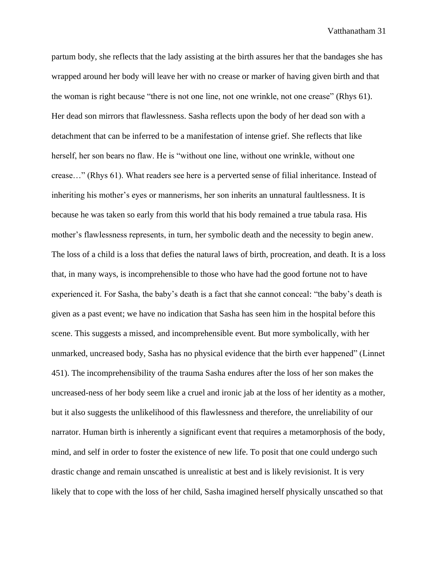partum body, she reflects that the lady assisting at the birth assures her that the bandages she has wrapped around her body will leave her with no crease or marker of having given birth and that the woman is right because "there is not one line, not one wrinkle, not one crease" (Rhys 61). Her dead son mirrors that flawlessness. Sasha reflects upon the body of her dead son with a detachment that can be inferred to be a manifestation of intense grief. She reflects that like herself, her son bears no flaw. He is "without one line, without one wrinkle, without one crease…" (Rhys 61). What readers see here is a perverted sense of filial inheritance. Instead of inheriting his mother's eyes or mannerisms, her son inherits an unnatural faultlessness. It is because he was taken so early from this world that his body remained a true tabula rasa. His mother's flawlessness represents, in turn, her symbolic death and the necessity to begin anew. The loss of a child is a loss that defies the natural laws of birth, procreation, and death. It is a loss that, in many ways, is incomprehensible to those who have had the good fortune not to have experienced it. For Sasha, the baby's death is a fact that she cannot conceal: "the baby's death is given as a past event; we have no indication that Sasha has seen him in the hospital before this scene. This suggests a missed, and incomprehensible event. But more symbolically, with her unmarked, uncreased body, Sasha has no physical evidence that the birth ever happened" (Linnet 451). The incomprehensibility of the trauma Sasha endures after the loss of her son makes the uncreased-ness of her body seem like a cruel and ironic jab at the loss of her identity as a mother, but it also suggests the unlikelihood of this flawlessness and therefore, the unreliability of our narrator. Human birth is inherently a significant event that requires a metamorphosis of the body, mind, and self in order to foster the existence of new life. To posit that one could undergo such drastic change and remain unscathed is unrealistic at best and is likely revisionist. It is very likely that to cope with the loss of her child, Sasha imagined herself physically unscathed so that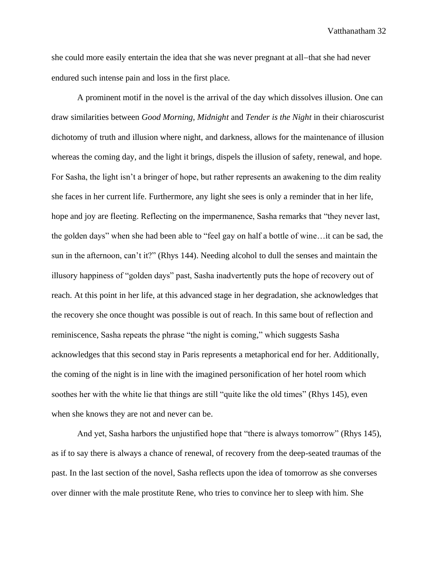she could more easily entertain the idea that she was never pregnant at all−that she had never endured such intense pain and loss in the first place.

A prominent motif in the novel is the arrival of the day which dissolves illusion. One can draw similarities between *Good Morning, Midnight* and *Tender is the Night* in their chiaroscurist dichotomy of truth and illusion where night, and darkness, allows for the maintenance of illusion whereas the coming day, and the light it brings, dispels the illusion of safety, renewal, and hope. For Sasha, the light isn't a bringer of hope, but rather represents an awakening to the dim reality she faces in her current life. Furthermore, any light she sees is only a reminder that in her life, hope and joy are fleeting. Reflecting on the impermanence, Sasha remarks that "they never last, the golden days" when she had been able to "feel gay on half a bottle of wine…it can be sad, the sun in the afternoon, can't it?" (Rhys 144). Needing alcohol to dull the senses and maintain the illusory happiness of "golden days" past, Sasha inadvertently puts the hope of recovery out of reach. At this point in her life, at this advanced stage in her degradation, she acknowledges that the recovery she once thought was possible is out of reach. In this same bout of reflection and reminiscence, Sasha repeats the phrase "the night is coming," which suggests Sasha acknowledges that this second stay in Paris represents a metaphorical end for her. Additionally, the coming of the night is in line with the imagined personification of her hotel room which soothes her with the white lie that things are still "quite like the old times" (Rhys 145), even when she knows they are not and never can be.

And yet, Sasha harbors the unjustified hope that "there is always tomorrow" (Rhys 145), as if to say there is always a chance of renewal, of recovery from the deep-seated traumas of the past. In the last section of the novel, Sasha reflects upon the idea of tomorrow as she converses over dinner with the male prostitute Rene, who tries to convince her to sleep with him. She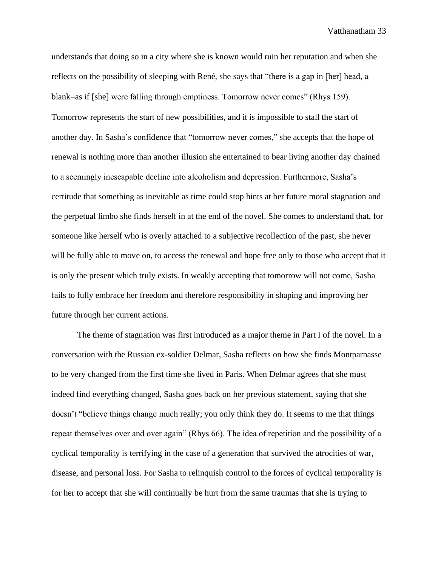understands that doing so in a city where she is known would ruin her reputation and when she reflects on the possibility of sleeping with René, she says that "there is a gap in [her] head, a blank−as if [she] were falling through emptiness. Tomorrow never comes" (Rhys 159). Tomorrow represents the start of new possibilities, and it is impossible to stall the start of another day. In Sasha's confidence that "tomorrow never comes," she accepts that the hope of renewal is nothing more than another illusion she entertained to bear living another day chained to a seemingly inescapable decline into alcoholism and depression. Furthermore, Sasha's certitude that something as inevitable as time could stop hints at her future moral stagnation and the perpetual limbo she finds herself in at the end of the novel. She comes to understand that, for someone like herself who is overly attached to a subjective recollection of the past, she never will be fully able to move on, to access the renewal and hope free only to those who accept that it is only the present which truly exists. In weakly accepting that tomorrow will not come, Sasha fails to fully embrace her freedom and therefore responsibility in shaping and improving her future through her current actions.

The theme of stagnation was first introduced as a major theme in Part I of the novel. In a conversation with the Russian ex-soldier Delmar, Sasha reflects on how she finds Montparnasse to be very changed from the first time she lived in Paris. When Delmar agrees that she must indeed find everything changed, Sasha goes back on her previous statement, saying that she doesn't "believe things change much really; you only think they do. It seems to me that things repeat themselves over and over again" (Rhys 66). The idea of repetition and the possibility of a cyclical temporality is terrifying in the case of a generation that survived the atrocities of war, disease, and personal loss. For Sasha to relinquish control to the forces of cyclical temporality is for her to accept that she will continually be hurt from the same traumas that she is trying to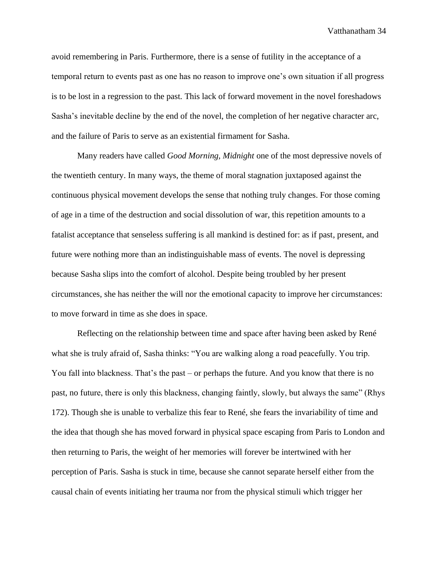avoid remembering in Paris. Furthermore, there is a sense of futility in the acceptance of a temporal return to events past as one has no reason to improve one's own situation if all progress is to be lost in a regression to the past. This lack of forward movement in the novel foreshadows Sasha's inevitable decline by the end of the novel, the completion of her negative character arc, and the failure of Paris to serve as an existential firmament for Sasha.

Many readers have called *Good Morning, Midnight* one of the most depressive novels of the twentieth century. In many ways, the theme of moral stagnation juxtaposed against the continuous physical movement develops the sense that nothing truly changes. For those coming of age in a time of the destruction and social dissolution of war, this repetition amounts to a fatalist acceptance that senseless suffering is all mankind is destined for: as if past, present, and future were nothing more than an indistinguishable mass of events. The novel is depressing because Sasha slips into the comfort of alcohol. Despite being troubled by her present circumstances, she has neither the will nor the emotional capacity to improve her circumstances: to move forward in time as she does in space.

Reflecting on the relationship between time and space after having been asked by René what she is truly afraid of, Sasha thinks: "You are walking along a road peacefully. You trip. You fall into blackness. That's the past – or perhaps the future. And you know that there is no past, no future, there is only this blackness, changing faintly, slowly, but always the same" (Rhys 172). Though she is unable to verbalize this fear to René, she fears the invariability of time and the idea that though she has moved forward in physical space escaping from Paris to London and then returning to Paris, the weight of her memories will forever be intertwined with her perception of Paris. Sasha is stuck in time, because she cannot separate herself either from the causal chain of events initiating her trauma nor from the physical stimuli which trigger her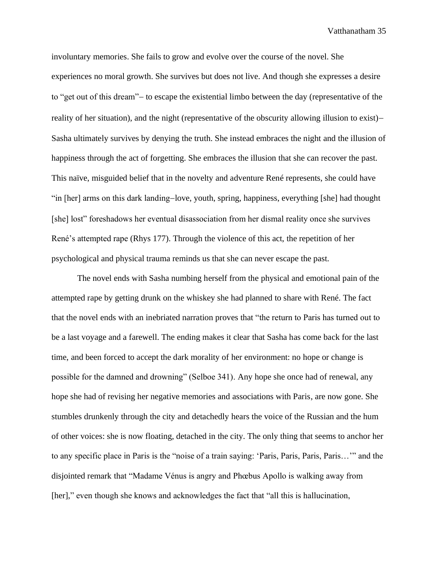involuntary memories. She fails to grow and evolve over the course of the novel. She experiences no moral growth. She survives but does not live. And though she expresses a desire to "get out of this dream"− to escape the existential limbo between the day (representative of the reality of her situation), and the night (representative of the obscurity allowing illusion to exist)− Sasha ultimately survives by denying the truth. She instead embraces the night and the illusion of happiness through the act of forgetting. She embraces the illusion that she can recover the past. This naïve, misguided belief that in the novelty and adventure René represents, she could have "in [her] arms on this dark landing−love, youth, spring, happiness, everything [she] had thought [she] lost" foreshadows her eventual disassociation from her dismal reality once she survives René's attempted rape (Rhys 177). Through the violence of this act, the repetition of her psychological and physical trauma reminds us that she can never escape the past.

The novel ends with Sasha numbing herself from the physical and emotional pain of the attempted rape by getting drunk on the whiskey she had planned to share with René. The fact that the novel ends with an inebriated narration proves that "the return to Paris has turned out to be a last voyage and a farewell. The ending makes it clear that Sasha has come back for the last time, and been forced to accept the dark morality of her environment: no hope or change is possible for the damned and drowning" (Selboe 341). Any hope she once had of renewal, any hope she had of revising her negative memories and associations with Paris, are now gone. She stumbles drunkenly through the city and detachedly hears the voice of the Russian and the hum of other voices: she is now floating, detached in the city. The only thing that seems to anchor her to any specific place in Paris is the "noise of a train saying: 'Paris, Paris, Paris, Paris…'" and the disjointed remark that "Madame Vénus is angry and Phœbus Apollo is walking away from [her]," even though she knows and acknowledges the fact that "all this is hallucination,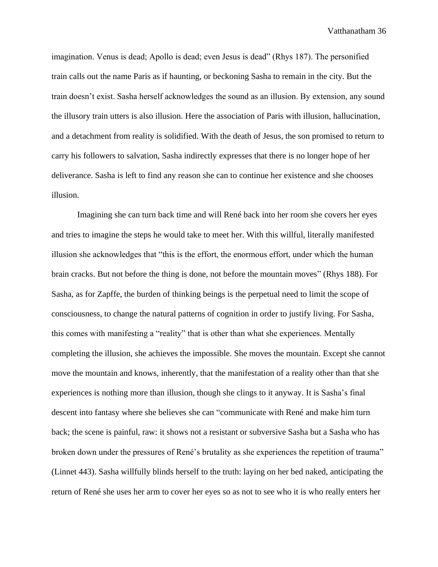imagination. Venus is dead; Apollo is dead; even Jesus is dead" (Rhys 187). The personified train calls out the name Paris as if haunting, or beckoning Sasha to remain in the city. But the train doesn't exist. Sasha herself acknowledges the sound as an illusion. By extension, any sound the illusory train utters is also illusion. Here the association of Paris with illusion, hallucination, and a detachment from reality is solidified. With the death of Jesus, the son promised to return to carry his followers to salvation, Sasha indirectly expresses that there is no longer hope of her deliverance. Sasha is left to find any reason she can to continue her existence and she chooses illusion.

Imagining she can turn back time and will René back into her room she covers her eyes and tries to imagine the steps he would take to meet her. With this willful, literally manifested illusion she acknowledges that "this is the effort, the enormous effort, under which the human brain cracks. But not before the thing is done, not before the mountain moves" (Rhys 188). For Sasha, as for Zapffe, the burden of thinking beings is the perpetual need to limit the scope of consciousness, to change the natural patterns of cognition in order to justify living. For Sasha, this comes with manifesting a "reality" that is other than what she experiences. Mentally completing the illusion, she achieves the impossible. She moves the mountain. Except she cannot move the mountain and knows, inherently, that the manifestation of a reality other than that she experiences is nothing more than illusion, though she clings to it anyway. It is Sasha's final descent into fantasy where she believes she can "communicate with René and make him turn back; the scene is painful, raw: it shows not a resistant or subversive Sasha but a Sasha who has broken down under the pressures of René's brutality as she experiences the repetition of trauma" (Linnet 443). Sasha willfully blinds herself to the truth: laying on her bed naked, anticipating the return of René she uses her arm to cover her eyes so as not to see who it is who really enters her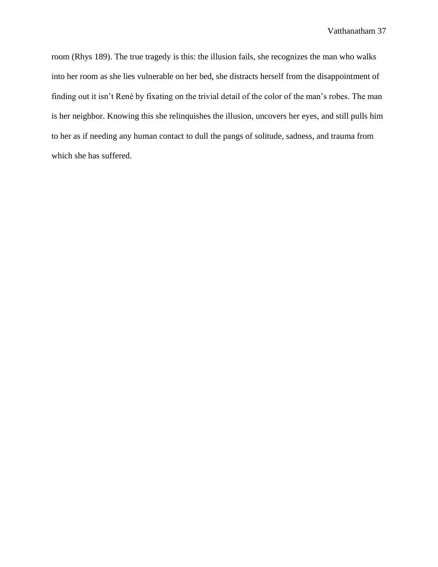room (Rhys 189). The true tragedy is this: the illusion fails, she recognizes the man who walks into her room as she lies vulnerable on her bed, she distracts herself from the disappointment of finding out it isn't René by fixating on the trivial detail of the color of the man's robes. The man is her neighbor. Knowing this she relinquishes the illusion, uncovers her eyes, and still pulls him to her as if needing any human contact to dull the pangs of solitude, sadness, and trauma from which she has suffered.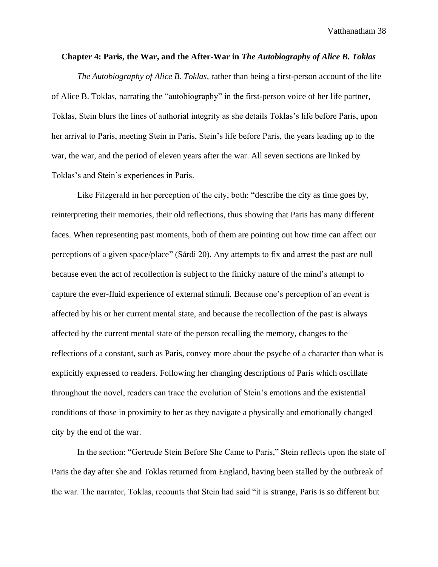#### **Chapter 4: Paris, the War, and the After-War in** *The Autobiography of Alice B. Toklas*

*The Autobiography of Alice B. Toklas,* rather than being a first-person account of the life of Alice B. Toklas, narrating the "autobiography" in the first-person voice of her life partner, Toklas, Stein blurs the lines of authorial integrity as she details Toklas's life before Paris, upon her arrival to Paris, meeting Stein in Paris, Stein's life before Paris, the years leading up to the war, the war, and the period of eleven years after the war. All seven sections are linked by Toklas's and Stein's experiences in Paris.

Like Fitzgerald in her perception of the city, both: "describe the city as time goes by, reinterpreting their memories, their old reflections, thus showing that Paris has many different faces. When representing past moments, both of them are pointing out how time can affect our perceptions of a given space/place" (Sárdi 20). Any attempts to fix and arrest the past are null because even the act of recollection is subject to the finicky nature of the mind's attempt to capture the ever-fluid experience of external stimuli. Because one's perception of an event is affected by his or her current mental state, and because the recollection of the past is always affected by the current mental state of the person recalling the memory, changes to the reflections of a constant, such as Paris, convey more about the psyche of a character than what is explicitly expressed to readers. Following her changing descriptions of Paris which oscillate throughout the novel, readers can trace the evolution of Stein's emotions and the existential conditions of those in proximity to her as they navigate a physically and emotionally changed city by the end of the war.

In the section: "Gertrude Stein Before She Came to Paris," Stein reflects upon the state of Paris the day after she and Toklas returned from England, having been stalled by the outbreak of the war. The narrator, Toklas, recounts that Stein had said "it is strange, Paris is so different but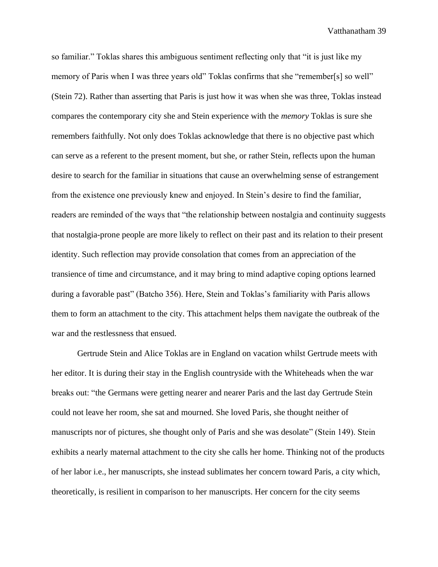so familiar." Toklas shares this ambiguous sentiment reflecting only that "it is just like my memory of Paris when I was three years old" Toklas confirms that she "remember[s] so well" (Stein 72). Rather than asserting that Paris is just how it was when she was three, Toklas instead compares the contemporary city she and Stein experience with the *memory* Toklas is sure she remembers faithfully. Not only does Toklas acknowledge that there is no objective past which can serve as a referent to the present moment, but she, or rather Stein, reflects upon the human desire to search for the familiar in situations that cause an overwhelming sense of estrangement from the existence one previously knew and enjoyed. In Stein's desire to find the familiar, readers are reminded of the ways that "the relationship between nostalgia and continuity suggests that nostalgia-prone people are more likely to reflect on their past and its relation to their present identity. Such reflection may provide consolation that comes from an appreciation of the transience of time and circumstance, and it may bring to mind adaptive coping options learned during a favorable past" (Batcho 356). Here, Stein and Toklas's familiarity with Paris allows them to form an attachment to the city. This attachment helps them navigate the outbreak of the war and the restlessness that ensued.

Gertrude Stein and Alice Toklas are in England on vacation whilst Gertrude meets with her editor. It is during their stay in the English countryside with the Whiteheads when the war breaks out: "the Germans were getting nearer and nearer Paris and the last day Gertrude Stein could not leave her room, she sat and mourned. She loved Paris, she thought neither of manuscripts nor of pictures, she thought only of Paris and she was desolate" (Stein 149). Stein exhibits a nearly maternal attachment to the city she calls her home. Thinking not of the products of her labor i.e., her manuscripts, she instead sublimates her concern toward Paris, a city which, theoretically, is resilient in comparison to her manuscripts. Her concern for the city seems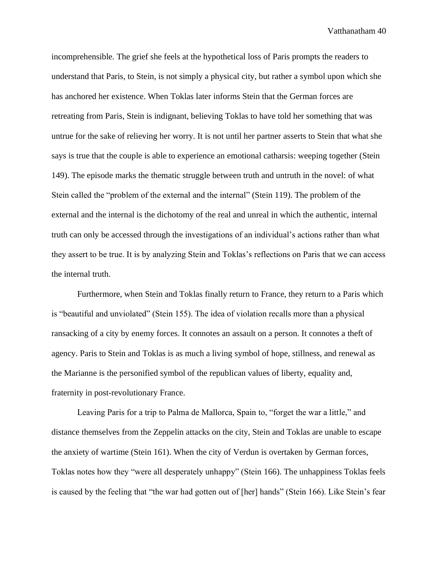incomprehensible. The grief she feels at the hypothetical loss of Paris prompts the readers to understand that Paris, to Stein, is not simply a physical city, but rather a symbol upon which she has anchored her existence. When Toklas later informs Stein that the German forces are retreating from Paris, Stein is indignant, believing Toklas to have told her something that was untrue for the sake of relieving her worry. It is not until her partner asserts to Stein that what she says is true that the couple is able to experience an emotional catharsis: weeping together (Stein 149). The episode marks the thematic struggle between truth and untruth in the novel: of what Stein called the "problem of the external and the internal" (Stein 119). The problem of the external and the internal is the dichotomy of the real and unreal in which the authentic, internal truth can only be accessed through the investigations of an individual's actions rather than what they assert to be true. It is by analyzing Stein and Toklas's reflections on Paris that we can access the internal truth.

Furthermore, when Stein and Toklas finally return to France, they return to a Paris which is "beautiful and unviolated" (Stein 155). The idea of violation recalls more than a physical ransacking of a city by enemy forces. It connotes an assault on a person. It connotes a theft of agency. Paris to Stein and Toklas is as much a living symbol of hope, stillness, and renewal as the Marianne is the personified symbol of the republican values of liberty, equality and, fraternity in post-revolutionary France.

Leaving Paris for a trip to Palma de Mallorca, Spain to, "forget the war a little," and distance themselves from the Zeppelin attacks on the city, Stein and Toklas are unable to escape the anxiety of wartime (Stein 161). When the city of Verdun is overtaken by German forces, Toklas notes how they "were all desperately unhappy" (Stein 166). The unhappiness Toklas feels is caused by the feeling that "the war had gotten out of [her] hands" (Stein 166). Like Stein's fear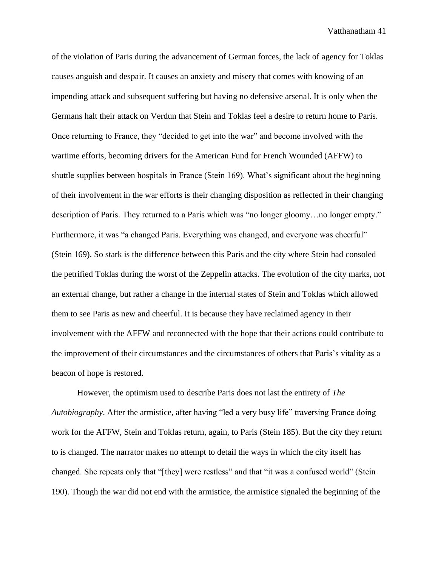of the violation of Paris during the advancement of German forces, the lack of agency for Toklas causes anguish and despair. It causes an anxiety and misery that comes with knowing of an impending attack and subsequent suffering but having no defensive arsenal. It is only when the Germans halt their attack on Verdun that Stein and Toklas feel a desire to return home to Paris. Once returning to France, they "decided to get into the war" and become involved with the wartime efforts, becoming drivers for the American Fund for French Wounded (AFFW) to shuttle supplies between hospitals in France (Stein 169). What's significant about the beginning of their involvement in the war efforts is their changing disposition as reflected in their changing description of Paris. They returned to a Paris which was "no longer gloomy…no longer empty." Furthermore, it was "a changed Paris. Everything was changed, and everyone was cheerful" (Stein 169). So stark is the difference between this Paris and the city where Stein had consoled the petrified Toklas during the worst of the Zeppelin attacks. The evolution of the city marks, not an external change, but rather a change in the internal states of Stein and Toklas which allowed them to see Paris as new and cheerful. It is because they have reclaimed agency in their involvement with the AFFW and reconnected with the hope that their actions could contribute to the improvement of their circumstances and the circumstances of others that Paris's vitality as a beacon of hope is restored.

However, the optimism used to describe Paris does not last the entirety of *The Autobiography*. After the armistice, after having "led a very busy life" traversing France doing work for the AFFW, Stein and Toklas return, again, to Paris (Stein 185). But the city they return to is changed. The narrator makes no attempt to detail the ways in which the city itself has changed. She repeats only that "[they] were restless" and that "it was a confused world" (Stein 190). Though the war did not end with the armistice, the armistice signaled the beginning of the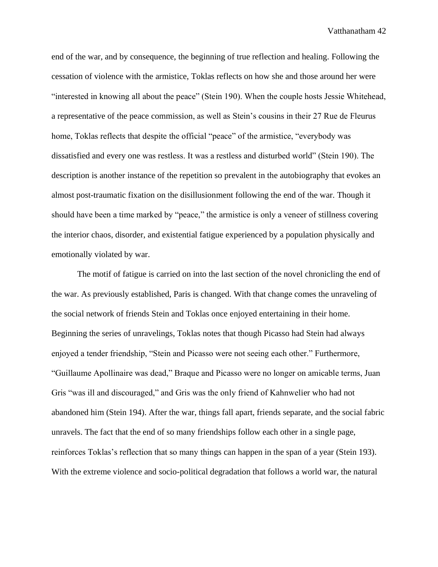end of the war, and by consequence, the beginning of true reflection and healing. Following the cessation of violence with the armistice, Toklas reflects on how she and those around her were "interested in knowing all about the peace" (Stein 190). When the couple hosts Jessie Whitehead, a representative of the peace commission, as well as Stein's cousins in their 27 Rue de Fleurus home, Toklas reflects that despite the official "peace" of the armistice, "everybody was dissatisfied and every one was restless. It was a restless and disturbed world" (Stein 190). The description is another instance of the repetition so prevalent in the autobiography that evokes an almost post-traumatic fixation on the disillusionment following the end of the war. Though it should have been a time marked by "peace," the armistice is only a veneer of stillness covering the interior chaos, disorder, and existential fatigue experienced by a population physically and emotionally violated by war.

The motif of fatigue is carried on into the last section of the novel chronicling the end of the war. As previously established, Paris is changed. With that change comes the unraveling of the social network of friends Stein and Toklas once enjoyed entertaining in their home. Beginning the series of unravelings, Toklas notes that though Picasso had Stein had always enjoyed a tender friendship, "Stein and Picasso were not seeing each other." Furthermore, "Guillaume Apollinaire was dead," Braque and Picasso were no longer on amicable terms, Juan Gris "was ill and discouraged," and Gris was the only friend of Kahnwelier who had not abandoned him (Stein 194). After the war, things fall apart, friends separate, and the social fabric unravels. The fact that the end of so many friendships follow each other in a single page, reinforces Toklas's reflection that so many things can happen in the span of a year (Stein 193). With the extreme violence and socio-political degradation that follows a world war, the natural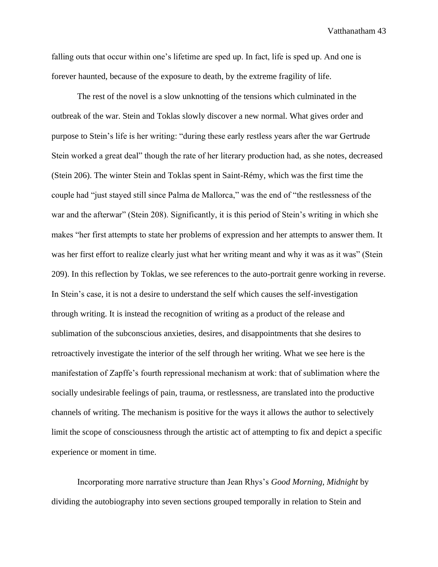falling outs that occur within one's lifetime are sped up. In fact, life is sped up. And one is forever haunted, because of the exposure to death, by the extreme fragility of life.

The rest of the novel is a slow unknotting of the tensions which culminated in the outbreak of the war. Stein and Toklas slowly discover a new normal. What gives order and purpose to Stein's life is her writing: "during these early restless years after the war Gertrude Stein worked a great deal" though the rate of her literary production had, as she notes, decreased (Stein 206). The winter Stein and Toklas spent in Saint-Rémy, which was the first time the couple had "just stayed still since Palma de Mallorca," was the end of "the restlessness of the war and the afterwar" (Stein 208). Significantly, it is this period of Stein's writing in which she makes "her first attempts to state her problems of expression and her attempts to answer them. It was her first effort to realize clearly just what her writing meant and why it was as it was" (Stein 209). In this reflection by Toklas, we see references to the auto-portrait genre working in reverse. In Stein's case, it is not a desire to understand the self which causes the self-investigation through writing. It is instead the recognition of writing as a product of the release and sublimation of the subconscious anxieties, desires, and disappointments that she desires to retroactively investigate the interior of the self through her writing. What we see here is the manifestation of Zapffe's fourth repressional mechanism at work: that of sublimation where the socially undesirable feelings of pain, trauma, or restlessness, are translated into the productive channels of writing. The mechanism is positive for the ways it allows the author to selectively limit the scope of consciousness through the artistic act of attempting to fix and depict a specific experience or moment in time.

Incorporating more narrative structure than Jean Rhys's *Good Morning, Midnight* by dividing the autobiography into seven sections grouped temporally in relation to Stein and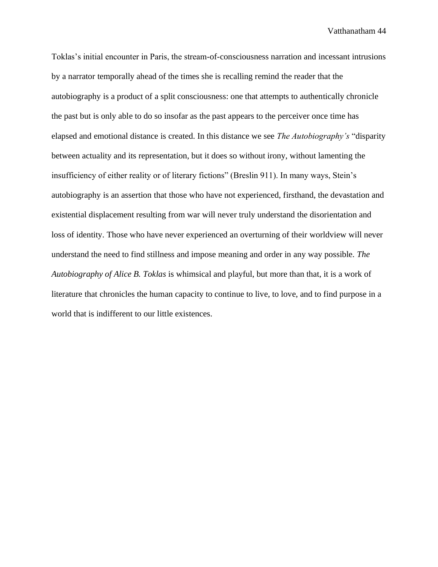Toklas's initial encounter in Paris, the stream-of-consciousness narration and incessant intrusions by a narrator temporally ahead of the times she is recalling remind the reader that the autobiography is a product of a split consciousness: one that attempts to authentically chronicle the past but is only able to do so insofar as the past appears to the perceiver once time has elapsed and emotional distance is created. In this distance we see *The Autobiography's* "disparity between actuality and its representation, but it does so without irony, without lamenting the insufficiency of either reality or of literary fictions" (Breslin 911). In many ways, Stein's autobiography is an assertion that those who have not experienced, firsthand, the devastation and existential displacement resulting from war will never truly understand the disorientation and loss of identity. Those who have never experienced an overturning of their worldview will never understand the need to find stillness and impose meaning and order in any way possible. *The Autobiography of Alice B. Toklas* is whimsical and playful, but more than that, it is a work of literature that chronicles the human capacity to continue to live, to love, and to find purpose in a world that is indifferent to our little existences.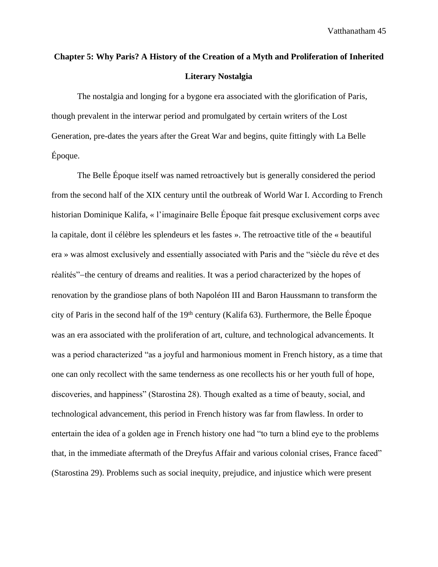## **Chapter 5: Why Paris? A History of the Creation of a Myth and Proliferation of Inherited Literary Nostalgia**

The nostalgia and longing for a bygone era associated with the glorification of Paris, though prevalent in the interwar period and promulgated by certain writers of the Lost Generation, pre-dates the years after the Great War and begins, quite fittingly with La Belle Époque.

The Belle Époque itself was named retroactively but is generally considered the period from the second half of the XIX century until the outbreak of World War I. According to French historian Dominique Kalifa, « l'imaginaire Belle Époque fait presque exclusivement corps avec la capitale, dont il célèbre les splendeurs et les fastes ». The retroactive title of the « beautiful era » was almost exclusively and essentially associated with Paris and the "siècle du rêve et des réalités"−the century of dreams and realities. It was a period characterized by the hopes of renovation by the grandiose plans of both Napoléon III and Baron Haussmann to transform the city of Paris in the second half of the 19<sup>th</sup> century (Kalifa 63). Furthermore, the Belle Époque was an era associated with the proliferation of art, culture, and technological advancements. It was a period characterized "as a joyful and harmonious moment in French history, as a time that one can only recollect with the same tenderness as one recollects his or her youth full of hope, discoveries, and happiness" (Starostina 28). Though exalted as a time of beauty, social, and technological advancement, this period in French history was far from flawless. In order to entertain the idea of a golden age in French history one had "to turn a blind eye to the problems that, in the immediate aftermath of the Dreyfus Affair and various colonial crises, France faced" (Starostina 29). Problems such as social inequity, prejudice, and injustice which were present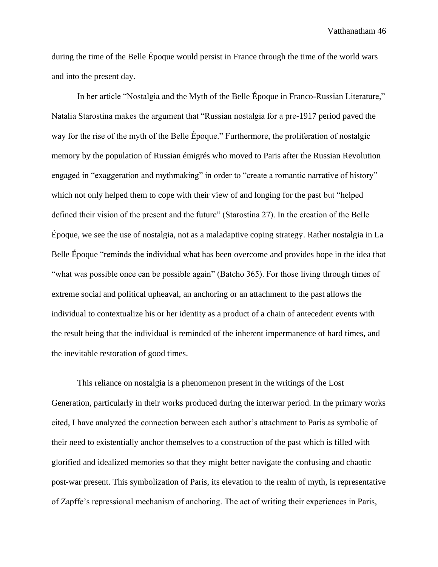during the time of the Belle Époque would persist in France through the time of the world wars and into the present day.

In her article "Nostalgia and the Myth of the Belle Époque in Franco-Russian Literature," Natalia Starostina makes the argument that "Russian nostalgia for a pre-1917 period paved the way for the rise of the myth of the Belle Époque." Furthermore, the proliferation of nostalgic memory by the population of Russian émigrés who moved to Paris after the Russian Revolution engaged in "exaggeration and mythmaking" in order to "create a romantic narrative of history" which not only helped them to cope with their view of and longing for the past but "helped defined their vision of the present and the future" (Starostina 27). In the creation of the Belle Époque, we see the use of nostalgia, not as a maladaptive coping strategy. Rather nostalgia in La Belle Époque "reminds the individual what has been overcome and provides hope in the idea that "what was possible once can be possible again" (Batcho 365). For those living through times of extreme social and political upheaval, an anchoring or an attachment to the past allows the individual to contextualize his or her identity as a product of a chain of antecedent events with the result being that the individual is reminded of the inherent impermanence of hard times, and the inevitable restoration of good times.

This reliance on nostalgia is a phenomenon present in the writings of the Lost Generation, particularly in their works produced during the interwar period. In the primary works cited, I have analyzed the connection between each author's attachment to Paris as symbolic of their need to existentially anchor themselves to a construction of the past which is filled with glorified and idealized memories so that they might better navigate the confusing and chaotic post-war present. This symbolization of Paris, its elevation to the realm of myth, is representative of Zapffe's repressional mechanism of anchoring. The act of writing their experiences in Paris,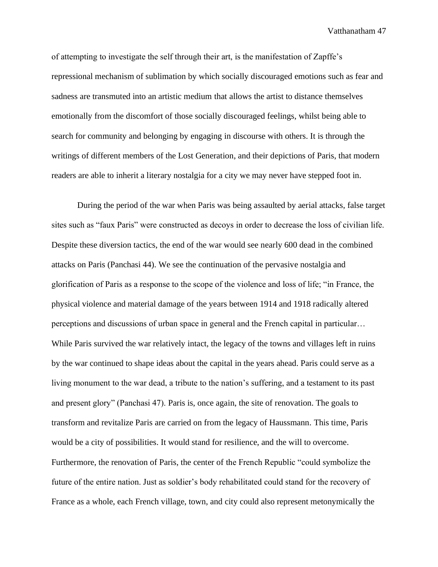of attempting to investigate the self through their art, is the manifestation of Zapffe's repressional mechanism of sublimation by which socially discouraged emotions such as fear and sadness are transmuted into an artistic medium that allows the artist to distance themselves emotionally from the discomfort of those socially discouraged feelings, whilst being able to search for community and belonging by engaging in discourse with others. It is through the writings of different members of the Lost Generation, and their depictions of Paris, that modern readers are able to inherit a literary nostalgia for a city we may never have stepped foot in.

During the period of the war when Paris was being assaulted by aerial attacks, false target sites such as "faux Paris" were constructed as decoys in order to decrease the loss of civilian life. Despite these diversion tactics, the end of the war would see nearly 600 dead in the combined attacks on Paris (Panchasi 44). We see the continuation of the pervasive nostalgia and glorification of Paris as a response to the scope of the violence and loss of life; "in France, the physical violence and material damage of the years between 1914 and 1918 radically altered perceptions and discussions of urban space in general and the French capital in particular… While Paris survived the war relatively intact, the legacy of the towns and villages left in ruins by the war continued to shape ideas about the capital in the years ahead. Paris could serve as a living monument to the war dead, a tribute to the nation's suffering, and a testament to its past and present glory" (Panchasi 47). Paris is, once again, the site of renovation. The goals to transform and revitalize Paris are carried on from the legacy of Haussmann. This time, Paris would be a city of possibilities. It would stand for resilience, and the will to overcome. Furthermore, the renovation of Paris, the center of the French Republic "could symbolize the future of the entire nation. Just as soldier's body rehabilitated could stand for the recovery of France as a whole, each French village, town, and city could also represent metonymically the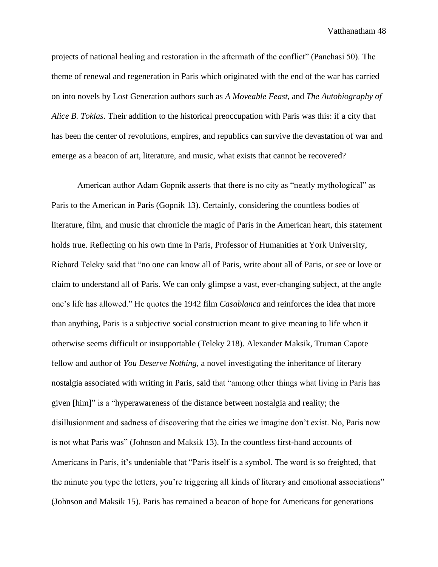projects of national healing and restoration in the aftermath of the conflict" (Panchasi 50). The theme of renewal and regeneration in Paris which originated with the end of the war has carried on into novels by Lost Generation authors such as *A Moveable Feast,* and *The Autobiography of Alice B. Toklas*. Their addition to the historical preoccupation with Paris was this: if a city that has been the center of revolutions, empires, and republics can survive the devastation of war and emerge as a beacon of art, literature, and music, what exists that cannot be recovered?

American author Adam Gopnik asserts that there is no city as "neatly mythological" as Paris to the American in Paris (Gopnik 13). Certainly, considering the countless bodies of literature, film, and music that chronicle the magic of Paris in the American heart, this statement holds true. Reflecting on his own time in Paris, Professor of Humanities at York University, Richard Teleky said that "no one can know all of Paris, write about all of Paris, or see or love or claim to understand all of Paris. We can only glimpse a vast, ever-changing subject, at the angle one's life has allowed." He quotes the 1942 film *Casablanca* and reinforces the idea that more than anything, Paris is a subjective social construction meant to give meaning to life when it otherwise seems difficult or insupportable (Teleky 218). Alexander Maksik, Truman Capote fellow and author of *You Deserve Nothing,* a novel investigating the inheritance of literary nostalgia associated with writing in Paris, said that "among other things what living in Paris has given [him]" is a "hyperawareness of the distance between nostalgia and reality; the disillusionment and sadness of discovering that the cities we imagine don't exist. No, Paris now is not what Paris was" (Johnson and Maksik 13). In the countless first-hand accounts of Americans in Paris, it's undeniable that "Paris itself is a symbol. The word is so freighted, that the minute you type the letters, you're triggering all kinds of literary and emotional associations" (Johnson and Maksik 15). Paris has remained a beacon of hope for Americans for generations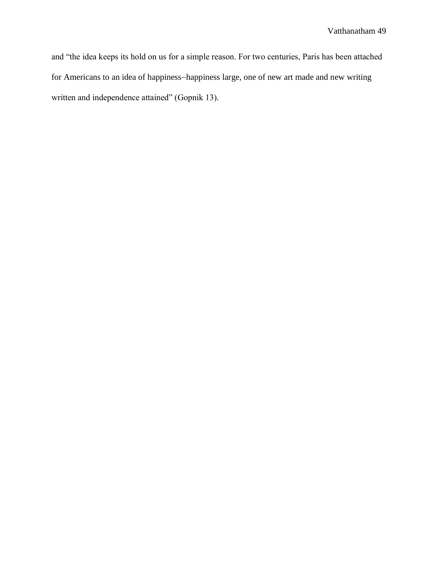and "the idea keeps its hold on us for a simple reason. For two centuries, Paris has been attached for Americans to an idea of happiness−happiness large, one of new art made and new writing written and independence attained" (Gopnik 13).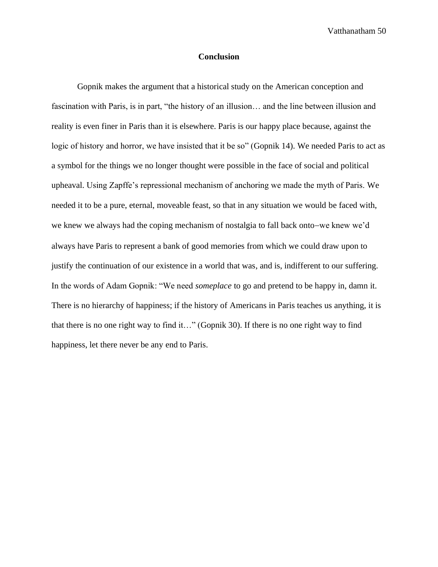### **Conclusion**

Gopnik makes the argument that a historical study on the American conception and fascination with Paris, is in part, "the history of an illusion… and the line between illusion and reality is even finer in Paris than it is elsewhere. Paris is our happy place because, against the logic of history and horror, we have insisted that it be so" (Gopnik 14). We needed Paris to act as a symbol for the things we no longer thought were possible in the face of social and political upheaval. Using Zapffe's repressional mechanism of anchoring we made the myth of Paris. We needed it to be a pure, eternal, moveable feast, so that in any situation we would be faced with, we knew we always had the coping mechanism of nostalgia to fall back onto−we knew we'd always have Paris to represent a bank of good memories from which we could draw upon to justify the continuation of our existence in a world that was, and is, indifferent to our suffering. In the words of Adam Gopnik: "We need *someplace* to go and pretend to be happy in, damn it. There is no hierarchy of happiness; if the history of Americans in Paris teaches us anything, it is that there is no one right way to find it…" (Gopnik 30). If there is no one right way to find happiness, let there never be any end to Paris.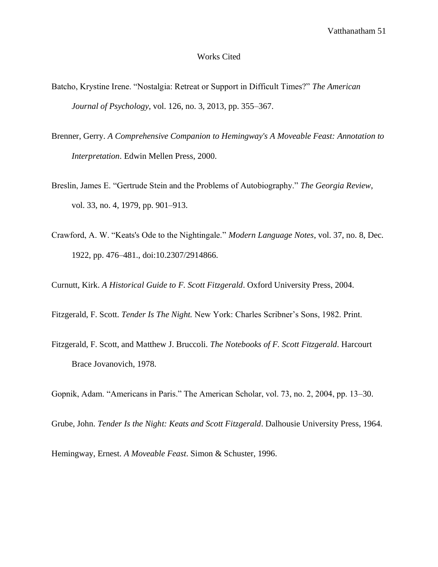### Works Cited

- Batcho, Krystine Irene. "Nostalgia: Retreat or Support in Difficult Times?" *The American Journal of Psychology*, vol. 126, no. 3, 2013, pp. 355–367.
- Brenner, Gerry. *A Comprehensive Companion to Hemingway's A Moveable Feast: Annotation to Interpretation*. Edwin Mellen Press, 2000.
- Breslin, James E. "Gertrude Stein and the Problems of Autobiography." *The Georgia Review*, vol. 33, no. 4, 1979, pp. 901–913.
- Crawford, A. W. "Keats's Ode to the Nightingale." *Modern Language Notes*, vol. 37, no. 8, Dec. 1922, pp. 476–481., doi:10.2307/2914866.

Curnutt, Kirk. *A Historical Guide to F. Scott Fitzgerald*. Oxford University Press, 2004.

Fitzgerald, F. Scott. *Tender Is The Night.* New York: Charles Scribner's Sons, 1982. Print.

Fitzgerald, F. Scott, and Matthew J. Bruccoli. *The Notebooks of F. Scott Fitzgerald*. Harcourt Brace Jovanovich, 1978.

Gopnik, Adam. "Americans in Paris." The American Scholar, vol. 73, no. 2, 2004, pp. 13–30.

Grube, John. *Tender Is the Night: Keats and Scott Fitzgerald*. Dalhousie University Press, 1964.

Hemingway, Ernest. *A Moveable Feast*. Simon & Schuster, 1996.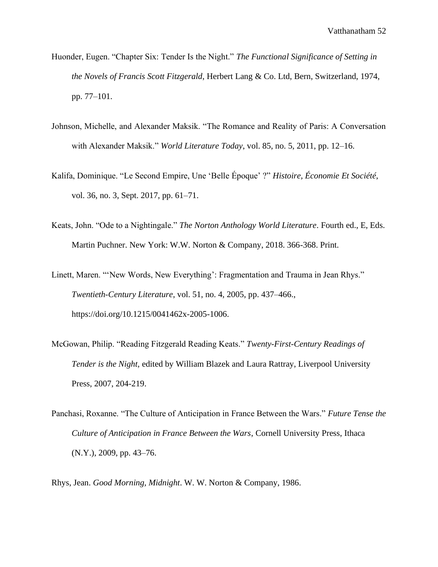- Huonder, Eugen. "Chapter Six: Tender Is the Night." *The Functional Significance of Setting in the Novels of Francis Scott Fitzgerald*, Herbert Lang & Co. Ltd, Bern, Switzerland, 1974, pp. 77–101.
- Johnson, Michelle, and Alexander Maksik. "The Romance and Reality of Paris: A Conversation with Alexander Maksik." *World Literature Today*, vol. 85, no. 5, 2011, pp. 12–16.
- Kalifa, Dominique. "Le Second Empire, Une 'Belle Époque' ?" *Histoire, Économie Et Société*, vol. 36, no. 3, Sept. 2017, pp. 61–71.
- Keats, John. "Ode to a Nightingale." *The Norton Anthology World Literature*. Fourth ed., E, Eds. Martin Puchner. New York: W.W. Norton & Company, 2018. 366-368. Print.
- Linett, Maren. "'New Words, New Everything': Fragmentation and Trauma in Jean Rhys." *Twentieth-Century Literature*, vol. 51, no. 4, 2005, pp. 437–466., https://doi.org/10.1215/0041462x-2005-1006.
- McGowan, Philip. "Reading Fitzgerald Reading Keats." *Twenty-First-Century Readings of Tender is the Night*, edited by William Blazek and Laura Rattray, Liverpool University Press, 2007, 204-219.
- Panchasi, Roxanne. "The Culture of Anticipation in France Between the Wars." *Future Tense the Culture of Anticipation in France Between the Wars*, Cornell University Press, Ithaca (N.Y.), 2009, pp. 43–76.

Rhys, Jean. *Good Morning, Midnight*. W. W. Norton & Company, 1986.